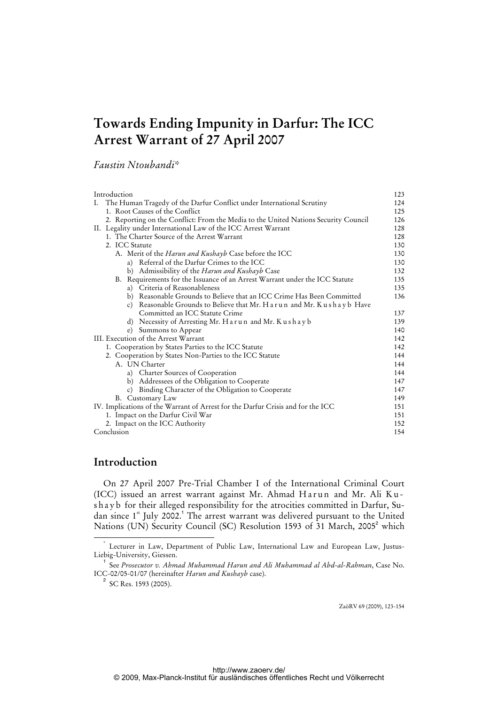# **Towards Ending Impunity in Darfur: The ICC Arrest Warrant of 27 April 2007**

*Faustin Ntoubandi\** 

| Introduction                                                                        | 123 |
|-------------------------------------------------------------------------------------|-----|
| The Human Tragedy of the Darfur Conflict under International Scrutiny<br>Ι.         | 124 |
| 1. Root Causes of the Conflict                                                      | 125 |
| 2. Reporting on the Conflict: From the Media to the United Nations Security Council | 126 |
| II. Legality under International Law of the ICC Arrest Warrant                      | 128 |
| 1. The Charter Source of the Arrest Warrant                                         | 128 |
| 2. ICC Statute                                                                      | 130 |
| A. Merit of the <i>Harun and Kushayb</i> Case before the ICC                        | 130 |
| a) Referral of the Darfur Crimes to the ICC                                         | 130 |
| Admissibility of the Harun and Kushayb Case<br>b)                                   | 132 |
| B. Requirements for the Issuance of an Arrest Warrant under the ICC Statute         | 135 |
| a) Criteria of Reasonableness                                                       | 135 |
| b) Reasonable Grounds to Believe that an ICC Crime Has Been Committed               | 136 |
| c) Reasonable Grounds to Believe that Mr. Harun and Mr. Kushayb Have                |     |
| Committed an ICC Statute Crime                                                      | 137 |
| d) Necessity of Arresting Mr. Harun and Mr. Kushayb                                 | 139 |
| Summons to Appear<br>$\epsilon$ )                                                   | 140 |
| III. Execution of the Arrest Warrant                                                | 142 |
| 1. Cooperation by States Parties to the ICC Statute                                 | 142 |
| 2. Cooperation by States Non-Parties to the ICC Statute                             | 144 |
| A. UN Charter                                                                       | 144 |
| a) Charter Sources of Cooperation                                                   | 144 |
| b) Addressees of the Obligation to Cooperate                                        | 147 |
| Binding Character of the Obligation to Cooperate<br>$\mathcal{C}$ )                 | 147 |
| B. Customary Law                                                                    | 149 |
| IV. Implications of the Warrant of Arrest for the Darfur Crisis and for the ICC     | 151 |
| 1. Impact on the Darfur Civil War                                                   | 151 |
| 2. Impact on the ICC Authority                                                      | 152 |
| Conclusion                                                                          | 154 |

# **Introduction**

 On 27 April 2007 Pre-Trial Chamber I of the International Criminal Court (ICC) issued an arrest warrant against Mr. Ahmad Harun and Mr. Ali Kushayb for their alleged responsibility for the atrocities committed in Darfur, Sudan since 1<sup>st</sup> July 2002.<sup>1</sup> The arrest warrant was delivered pursuant to the United Nations (UN) Security Council (SC) Resolution 1593 of 31 March, 2005<sup>2</sup> which

ZaöRV 69 (2009), 123-154

 <sup>\*</sup> Lecturer in Law, Department of Public Law, International Law and European Law, Justus-Liebig-University, Giessen.

<sup>1</sup> See *Prosecutor v. Ahmad Muhammad Harun and Ali Muhammad al Abd-al-Rahman*, Case No. ICC-02/05-01/07 (hereinafter *Harun and Kushayb* case).

 $2^2$  SC Res. 1593 (2005).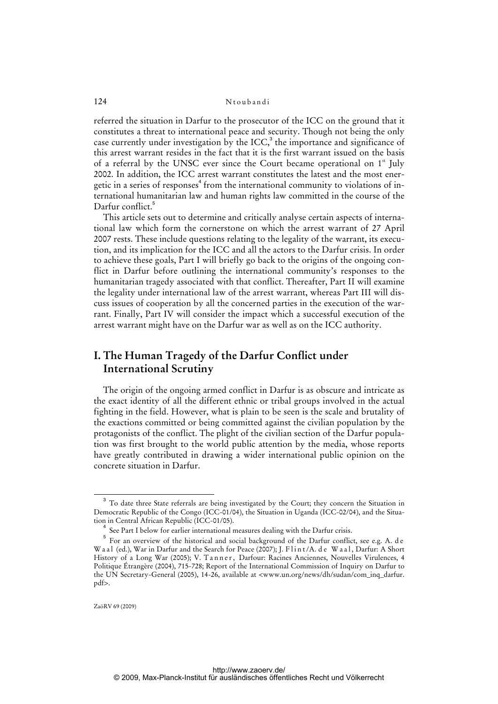referred the situation in Darfur to the prosecutor of the ICC on the ground that it constitutes a threat to international peace and security. Though not being the only case currently under investigation by the ICC, $3$  the importance and significance of this arrest warrant resides in the fact that it is the first warrant issued on the basis of a referral by the UNSC ever since the Court became operational on  $1<sup>st</sup>$  July 2002. In addition, the ICC arrest warrant constitutes the latest and the most energetic in a series of responses<sup>4</sup> from the international community to violations of international humanitarian law and human rights law committed in the course of the Darfur conflict.<sup>5</sup>

 This article sets out to determine and critically analyse certain aspects of international law which form the cornerstone on which the arrest warrant of 27 April 2007 rests. These include questions relating to the legality of the warrant, its execution, and its implication for the ICC and all the actors to the Darfur crisis. In order to achieve these goals, Part I will briefly go back to the origins of the ongoing conflict in Darfur before outlining the international community's responses to the humanitarian tragedy associated with that conflict. Thereafter, Part II will examine the legality under international law of the arrest warrant, whereas Part III will discuss issues of cooperation by all the concerned parties in the execution of the warrant. Finally, Part IV will consider the impact which a successful execution of the arrest warrant might have on the Darfur war as well as on the ICC authority.

# **I. The Human Tragedy of the Darfur Conflict under International Scrutiny**

 The origin of the ongoing armed conflict in Darfur is as obscure and intricate as the exact identity of all the different ethnic or tribal groups involved in the actual fighting in the field. However, what is plain to be seen is the scale and brutality of the exactions committed or being committed against the civilian population by the protagonists of the conflict. The plight of the civilian section of the Darfur population was first brought to the world public attention by the media, whose reports have greatly contributed in drawing a wider international public opinion on the concrete situation in Darfur.

<sup>&</sup>lt;sup>3</sup> To date three State referrals are being investigated by the Court; they concern the Situation in Democratic Republic of the Congo (ICC-01/04), the Situation in Uganda (ICC-02/04), and the Situation in Central African Republic (ICC-01/05).

<sup>&</sup>lt;sup>4</sup> See Part I below for earlier international measures dealing with the Darfur crisis.

<sup>&</sup>lt;sup>5</sup> For an overview of the historical and social background of the Darfur conflict, see e.g. A. de W a a l (ed.), War in Darfur and the Search for Peace (2007); J. F l i n t / A. d e W a a l, Darfur: A Short History of a Long War (2005); V. T a n n e r , Darfour: Racines Anciennes, Nouvelles Virulences, 4 Politique Étrangère (2004), 715-728; Report of the International Commission of Inquiry on Darfur to the UN Secretary-General (2005), 14-26, available at <www.un.org/news/dh/sudan/com\_inq\_darfur. pdf>.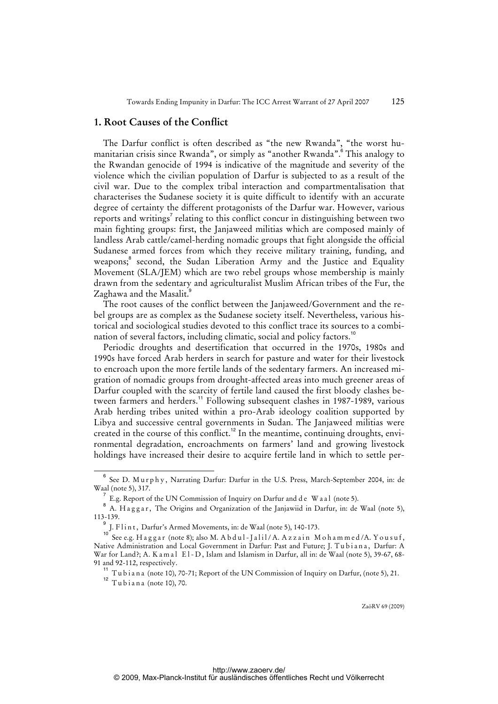### **1. Root Causes of the Conflict**

 The Darfur conflict is often described as "the new Rwanda", "the worst humanitarian crisis since Rwanda", or simply as "another Rwanda".<sup>6</sup> This analogy to the Rwandan genocide of 1994 is indicative of the magnitude and severity of the violence which the civilian population of Darfur is subjected to as a result of the civil war. Due to the complex tribal interaction and compartmentalisation that characterises the Sudanese society it is quite difficult to identify with an accurate degree of certainty the different protagonists of the Darfur war. However, various reports and writings<sup>7</sup> relating to this conflict concur in distinguishing between two main fighting groups: first, the Janjaweed militias which are composed mainly of landless Arab cattle/camel-herding nomadic groups that fight alongside the official Sudanese armed forces from which they receive military training, funding, and weapons;<sup>8</sup> second, the Sudan Liberation Army and the Justice and Equality Movement (SLA/JEM) which are two rebel groups whose membership is mainly drawn from the sedentary and agriculturalist Muslim African tribes of the Fur, the Zaghawa and the Masalit.<sup>9</sup>

 The root causes of the conflict between the Janjaweed/Government and the rebel groups are as complex as the Sudanese society itself. Nevertheless, various historical and sociological studies devoted to this conflict trace its sources to a combination of several factors, including climatic, social and policy factors.<sup>11</sup>

 Periodic droughts and desertification that occurred in the 1970s, 1980s and 1990s have forced Arab herders in search for pasture and water for their livestock to encroach upon the more fertile lands of the sedentary farmers. An increased migration of nomadic groups from drought-affected areas into much greener areas of Darfur coupled with the scarcity of fertile land caused the first bloody clashes between farmers and herders.<sup>11</sup> Following subsequent clashes in 1987-1989, various Arab herding tribes united within a pro-Arab ideology coalition supported by Libya and successive central governments in Sudan. The Janjaweed militias were created in the course of this conflict.<sup>12</sup> In the meantime, continuing droughts, environmental degradation, encroachments on farmers' land and growing livestock holdings have increased their desire to acquire fertile land in which to settle per-

<sup>6</sup> See D. M u r p h y , Narrating Darfur: Darfur in the U.S. Press, March-September 2004, in: de Waal (note 5), 317.

 $^7$  E.g. Report of the UN Commission of Inquiry on Darfur and de W a a l (note 5).

 $^8$  A. Haggar, The Origins and Organization of the Janjawiid in Darfur, in: de Waal (note 5), 113-139.

<sup>9</sup> J. Flint, Darfur's Armed Movements, in: de Waal (note 5), 140-173.

See e.g. Haggar (note 8); also M. A b d u l - J a l i  $1/A$ . A z z a in M o h a m m e d/A. Y o u s u f, Native Administration and Local Government in Darfur: Past and Future; J. Tubiana, Darfur: A War for Land?; A. K a m a l E l - D, Islam and Islamism in Darfur, all in: de Waal (note 5), 39-67, 68-91 and 92-112, respectively.

<sup>&</sup>lt;sup>11</sup> Tubiana (note 10), 70-71; Report of the UN Commission of Inquiry on Darfur, (note 5), 21.

 $12$  Tubiana (note 10), 70.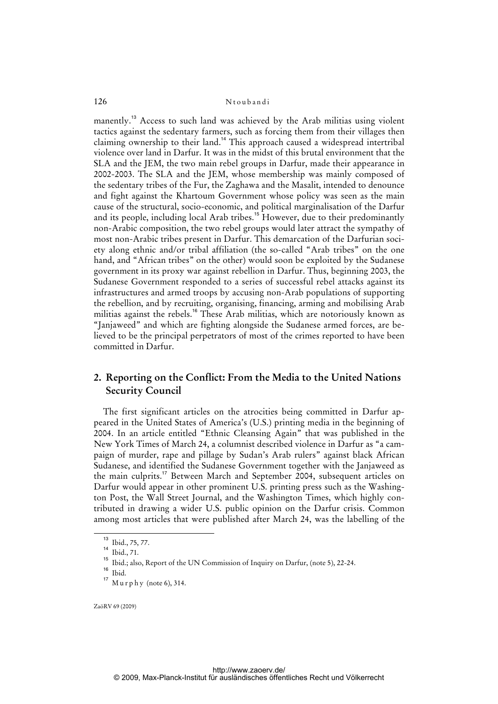manently.<sup>13</sup> Access to such land was achieved by the Arab militias using violent tactics against the sedentary farmers, such as forcing them from their villages then claiming ownership to their land.<sup>14</sup> This approach caused a widespread intertribal violence over land in Darfur. It was in the midst of this brutal environment that the SLA and the JEM, the two main rebel groups in Darfur, made their appearance in 2002-2003. The SLA and the JEM, whose membership was mainly composed of the sedentary tribes of the Fur, the Zaghawa and the Masalit, intended to denounce and fight against the Khartoum Government whose policy was seen as the main cause of the structural, socio-economic, and political marginalisation of the Darfur and its people, including local Arab tribes.<sup>15</sup> However, due to their predominantly non-Arabic composition, the two rebel groups would later attract the sympathy of most non-Arabic tribes present in Darfur. This demarcation of the Darfurian society along ethnic and/or tribal affiliation (the so-called "Arab tribes" on the one hand, and "African tribes" on the other) would soon be exploited by the Sudanese government in its proxy war against rebellion in Darfur. Thus, beginning 2003, the Sudanese Government responded to a series of successful rebel attacks against its infrastructures and armed troops by accusing non-Arab populations of supporting the rebellion, and by recruiting, organising, financing, arming and mobilising Arab militias against the rebels.<sup>16</sup> These Arab militias, which are notoriously known as "Janjaweed" and which are fighting alongside the Sudanese armed forces, are believed to be the principal perpetrators of most of the crimes reported to have been committed in Darfur.

# **2. Reporting on the Conflict: From the Media to the United Nations Security Council**

 The first significant articles on the atrocities being committed in Darfur appeared in the United States of America's (U.S.) printing media in the beginning of 2004. In an article entitled "Ethnic Cleansing Again" that was published in the New York Times of March 24, a columnist described violence in Darfur as "a campaign of murder, rape and pillage by Sudan's Arab rulers" against black African Sudanese, and identified the Sudanese Government together with the Janjaweed as the main culprits.<sup>17</sup> Between March and September 2004, subsequent articles on Darfur would appear in other prominent U.S. printing press such as the Washington Post, the Wall Street Journal, and the Washington Times, which highly contributed in drawing a wider U.S. public opinion on the Darfur crisis. Common among most articles that were published after March 24, was the labelling of the

<sup>13</sup> Ibid., 75, 77.

<sup>14</sup> Ibid., 71.

<sup>15</sup> Ibid.; also, Report of the UN Commission of Inquiry on Darfur, (note 5), 22-24.

 $16$  Ibid.

 $17$  M u r p h y (note 6), 314.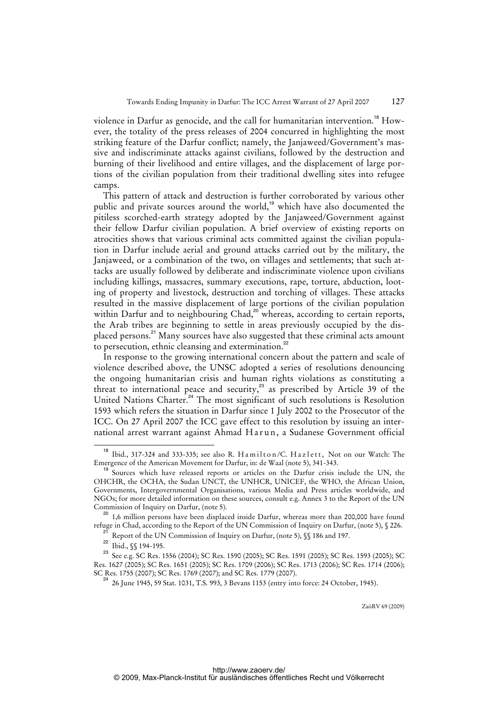violence in Darfur as genocide, and the call for humanitarian intervention.<sup>18</sup> However, the totality of the press releases of 2004 concurred in highlighting the most striking feature of the Darfur conflict; namely, the Janjaweed/Government's massive and indiscriminate attacks against civilians, followed by the destruction and burning of their livelihood and entire villages, and the displacement of large portions of the civilian population from their traditional dwelling sites into refugee camps.

 This pattern of attack and destruction is further corroborated by various other public and private sources around the world,<sup>19</sup> which have also documented the pitiless scorched-earth strategy adopted by the Janjaweed/Government against their fellow Darfur civilian population. A brief overview of existing reports on atrocities shows that various criminal acts committed against the civilian population in Darfur include aerial and ground attacks carried out by the military, the Janjaweed, or a combination of the two, on villages and settlements; that such attacks are usually followed by deliberate and indiscriminate violence upon civilians including killings, massacres, summary executions, rape, torture, abduction, looting of property and livestock, destruction and torching of villages. These attacks resulted in the massive displacement of large portions of the civilian population within Darfur and to neighbouring Chad,<sup>20</sup> whereas, according to certain reports, the Arab tribes are beginning to settle in areas previously occupied by the displaced persons.<sup>21</sup> Many sources have also suggested that these criminal acts amount to persecution, ethnic cleansing and extermination.<sup>22</sup>

 In response to the growing international concern about the pattern and scale of violence described above, the UNSC adopted a series of resolutions denouncing the ongoing humanitarian crisis and human rights violations as constituting a threat to international peace and security,<sup>23</sup> as prescribed by Article 39 of the United Nations Charter.<sup>24</sup> The most significant of such resolutions is Resolution 1593 which refers the situation in Darfur since 1 July 2002 to the Prosecutor of the ICC. On 27 April 2007 the ICC gave effect to this resolution by issuing an international arrest warrant against Ahmad Harun, a Sudanese Government official

<sup>&</sup>lt;sup>18</sup> Ibid., 317-324 and 333-335; see also R. Hamilton/C. Hazlett, Not on our Watch: The Emergence of the American Movement for Darfur, in: de Waal (note 5), 341-343.

<sup>&</sup>lt;sup>19</sup> Sources which have released reports or articles on the Darfur crisis include the UN, the OHCHR, the OCHA, the Sudan UNCT, the UNHCR, UNICEF, the WHO, the African Union, Governments, Intergovernmental Organisations, various Media and Press articles worldwide, and NGOs; for more detailed information on these sources, consult e.g. Annex 3 to the Report of the UN Commission of Inquiry on Darfur, (note 5).

<sup>1,6</sup> million persons have been displaced inside Darfur, whereas more than 200,000 have found refuge in Chad, according to the Report of the UN Commission of Inquiry on Darfur, (note 5), § 226.

Report of the UN Commission of Inquiry on Darfur, (note 5),  $\$  186 and 197.

 $^{22}$  Ibid.,  $\sqrt{\ }$  194-195.

<sup>&</sup>lt;sup>23</sup> See e.g. SC Res. 1556 (2004); SC Res. 1590 (2005); SC Res. 1591 (2005); SC Res. 1593 (2005); SC Res. 1627 (2005); SC Res. 1651 (2005); SC Res. 1709 (2006); SC Res. 1713 (2006); SC Res. 1714 (2006); SC Res. 1755 (2007); SC Res. 1769 (2007); and SC Res. 1779 (2007).

<sup>24 26</sup> June 1945, 59 Stat. 1031, T.S. 993, 3 Bevans 1153 (entry into force: 24 October, 1945).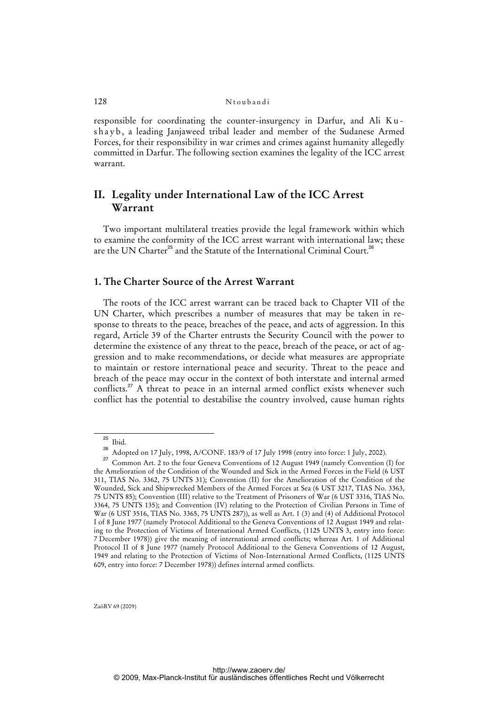responsible for coordinating the counter-insurgency in Darfur, and Ali K u shayb, a leading Janjaweed tribal leader and member of the Sudanese Armed Forces, for their responsibility in war crimes and crimes against humanity allegedly committed in Darfur. The following section examines the legality of the ICC arrest warrant.

# **II. Legality under International Law of the ICC Arrest Warrant**

 Two important multilateral treaties provide the legal framework within which to examine the conformity of the ICC arrest warrant with international law; these are the UN Charter<sup>25</sup> and the Statute of the International Criminal Court.<sup>26</sup>

## **1. The Charter Source of the Arrest Warrant**

 The roots of the ICC arrest warrant can be traced back to Chapter VII of the UN Charter, which prescribes a number of measures that may be taken in response to threats to the peace, breaches of the peace, and acts of aggression. In this regard, Article 39 of the Charter entrusts the Security Council with the power to determine the existence of any threat to the peace, breach of the peace, or act of aggression and to make recommendations, or decide what measures are appropriate to maintain or restore international peace and security. Threat to the peace and breach of the peace may occur in the context of both interstate and internal armed conflicts.<sup>27</sup> A threat to peace in an internal armed conflict exists whenever such conflict has the potential to destabilise the country involved, cause human rights

 $\frac{25}{26}$  Ibid.

<sup>26</sup> Adopted on 17 July, 1998, A/CONF. 183/9 of 17 July 1998 (entry into force: 1 July, 2002).

Common Art. 2 to the four Geneva Conventions of 12 August 1949 (namely Convention (I) for the Amelioration of the Condition of the Wounded and Sick in the Armed Forces in the Field (6 UST 311, TIAS No. 3362, 75 UNTS 31); Convention (II) for the Amelioration of the Condition of the Wounded, Sick and Shipwrecked Members of the Armed Forces at Sea (6 UST 3217, TIAS No. 3363, 75 UNTS 85); Convention (III) relative to the Treatment of Prisoners of War (6 UST 3316, TIAS No. 3364, 75 UNTS 135); and Convention (IV) relating to the Protection of Civilian Persons in Time of War (6 UST 3516, TIAS No. 3365, 75 UNTS 287)), as well as Art. 1 (3) and (4) of Additional Protocol I of 8 June 1977 (namely Protocol Additional to the Geneva Conventions of 12 August 1949 and relating to the Protection of Victims of International Armed Conflicts, (1125 UNTS 3, entry into force: 7 December 1978)) give the meaning of international armed conflicts; whereas Art. 1 of Additional Protocol II of 8 June 1977 (namely Protocol Additional to the Geneva Conventions of 12 August, 1949 and relating to the Protection of Victims of Non-International Armed Conflicts, (1125 UNTS 609, entry into force: 7 December 1978)) defines internal armed conflicts.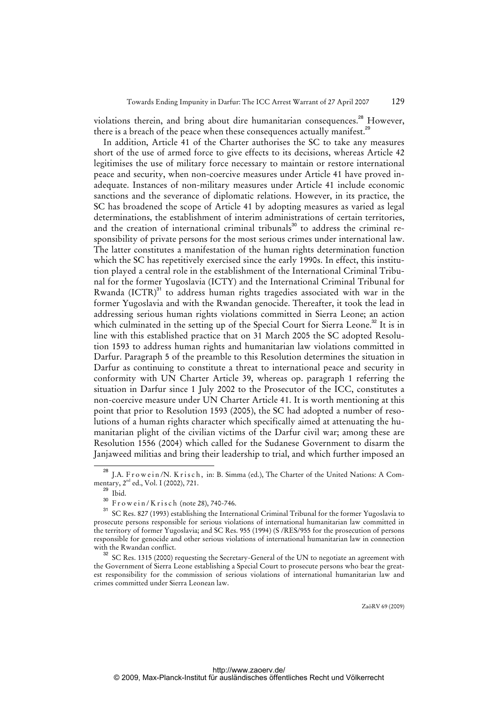violations therein, and bring about dire humanitarian consequences.<sup>28</sup> However, there is a breach of the peace when these consequences actually manifest.<sup>29</sup>

 In addition, Article 41 of the Charter authorises the SC to take any measures short of the use of armed force to give effects to its decisions, whereas Article 42 legitimises the use of military force necessary to maintain or restore international peace and security, when non-coercive measures under Article 41 have proved inadequate. Instances of non-military measures under Article 41 include economic sanctions and the severance of diplomatic relations. However, in its practice, the SC has broadened the scope of Article 41 by adopting measures as varied as legal determinations, the establishment of interim administrations of certain territories, and the creation of international criminal tribunals<sup>30</sup> to address the criminal responsibility of private persons for the most serious crimes under international law. The latter constitutes a manifestation of the human rights determination function which the SC has repetitively exercised since the early 1990s. In effect, this institution played a central role in the establishment of the International Criminal Tribunal for the former Yugoslavia (ICTY) and the International Criminal Tribunal for Rwanda  ${[ICTR)}^{31}$  to address human rights tragedies associated with war in the former Yugoslavia and with the Rwandan genocide. Thereafter, it took the lead in addressing serious human rights violations committed in Sierra Leone; an action which culminated in the setting up of the Special Court for Sierra Leone.<sup>32</sup> It is in line with this established practice that on 31 March 2005 the SC adopted Resolution 1593 to address human rights and humanitarian law violations committed in Darfur. Paragraph 5 of the preamble to this Resolution determines the situation in Darfur as continuing to constitute a threat to international peace and security in conformity with UN Charter Article 39, whereas op. paragraph 1 referring the situation in Darfur since 1 July 2002 to the Prosecutor of the ICC, constitutes a non-coercive measure under UN Charter Article 41. It is worth mentioning at this point that prior to Resolution 1593 (2005), the SC had adopted a number of resolutions of a human rights character which specifically aimed at attenuating the humanitarian plight of the civilian victims of the Darfur civil war; among these are Resolution 1556 (2004) which called for the Sudanese Government to disarm the Janjaweed militias and bring their leadership to trial, and which further imposed an

J.A. Frowein/N. Krisch, in: B. Simma (ed.), The Charter of the United Nations: A Commentary,  $2^{nd}$  ed., Vol. I (2002), 721.

Ibid.

 $\frac{30}{31}$  Frowein/Krisch (note 28), 740-746.

<sup>31</sup> SC Res. 827 (1993) establishing the International Criminal Tribunal for the former Yugoslavia to prosecute persons responsible for serious violations of international humanitarian law committed in the territory of former Yugoslavia; and SC Res. 955 (1994) (S /RES/955 for the prosecution of persons responsible for genocide and other serious violations of international humanitarian law in connection with the Rwandan conflict.

<sup>&</sup>lt;sup>32</sup> SC Res. 1315 (2000) requesting the Secretary-General of the UN to negotiate an agreement with the Government of Sierra Leone establishing a Special Court to prosecute persons who bear the greatest responsibility for the commission of serious violations of international humanitarian law and crimes committed under Sierra Leonean law.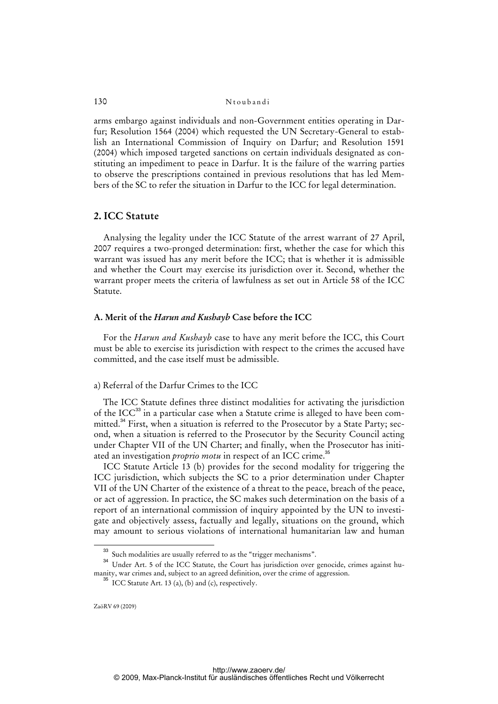arms embargo against individuals and non-Government entities operating in Darfur; Resolution 1564 (2004) which requested the UN Secretary-General to establish an International Commission of Inquiry on Darfur; and Resolution 1591 (2004) which imposed targeted sanctions on certain individuals designated as constituting an impediment to peace in Darfur. It is the failure of the warring parties to observe the prescriptions contained in previous resolutions that has led Members of the SC to refer the situation in Darfur to the ICC for legal determination.

### **2. ICC Statute**

 Analysing the legality under the ICC Statute of the arrest warrant of 27 April, 2007 requires a two-pronged determination: first, whether the case for which this warrant was issued has any merit before the ICC; that is whether it is admissible and whether the Court may exercise its jurisdiction over it. Second, whether the warrant proper meets the criteria of lawfulness as set out in Article 58 of the ICC Statute.

### **A. Merit of the** *Harun and Kushayb* **Case before the ICC**

 For the *Harun and Kushayb* case to have any merit before the ICC, this Court must be able to exercise its jurisdiction with respect to the crimes the accused have committed, and the case itself must be admissible.

#### a) Referral of the Darfur Crimes to the ICC

 The ICC Statute defines three distinct modalities for activating the jurisdiction of the ICC<sup>33</sup> in a particular case when a Statute crime is alleged to have been committed.<sup>34</sup> First, when a situation is referred to the Prosecutor by a State Party; second, when a situation is referred to the Prosecutor by the Security Council acting under Chapter VII of the UN Charter; and finally, when the Prosecutor has initiated an investigation *proprio motu* in respect of an ICC crime.<sup>35</sup>

 ICC Statute Article 13 (b) provides for the second modality for triggering the ICC jurisdiction, which subjects the SC to a prior determination under Chapter VII of the UN Charter of the existence of a threat to the peace, breach of the peace, or act of aggression. In practice, the SC makes such determination on the basis of a report of an international commission of inquiry appointed by the UN to investigate and objectively assess, factually and legally, situations on the ground, which may amount to serious violations of international humanitarian law and human

<sup>&</sup>lt;sup>33</sup> Such modalities are usually referred to as the "trigger mechanisms".

<sup>&</sup>lt;sup>34</sup> Under Art. 5 of the ICC Statute, the Court has jurisdiction over genocide, crimes against humanity, war crimes and, subject to an agreed definition, over the crime of aggression.

 $35$  ICC Statute Art. 13 (a), (b) and (c), respectively.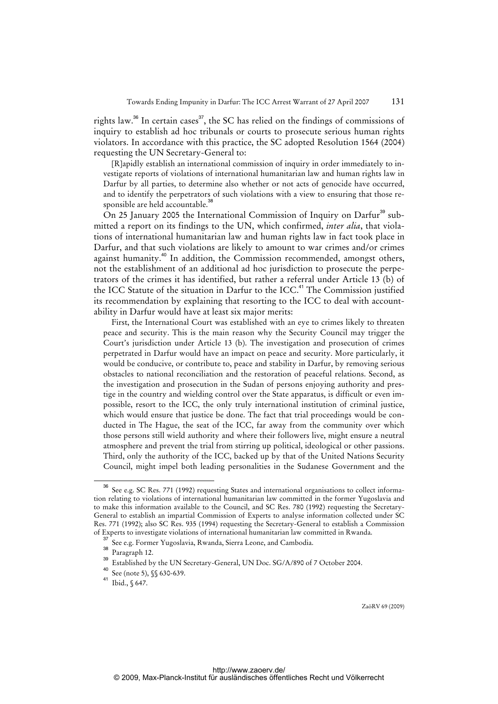rights law.<sup>36</sup> In certain cases<sup>37</sup>, the SC has relied on the findings of commissions of inquiry to establish ad hoc tribunals or courts to prosecute serious human rights violators. In accordance with this practice, the SC adopted Resolution 1564 (2004) requesting the UN Secretary-General to:

[R]apidly establish an international commission of inquiry in order immediately to investigate reports of violations of international humanitarian law and human rights law in Darfur by all parties, to determine also whether or not acts of genocide have occurred, and to identify the perpetrators of such violations with a view to ensuring that those responsible are held accountable.<sup>38</sup>

On 25 January 2005 the International Commission of Inquiry on Darfur<sup>39</sup> submitted a report on its findings to the UN, which confirmed, *inter alia*, that violations of international humanitarian law and human rights law in fact took place in Darfur, and that such violations are likely to amount to war crimes and/or crimes against humanity.<sup>40</sup> In addition, the Commission recommended, amongst others, not the establishment of an additional ad hoc jurisdiction to prosecute the perpetrators of the crimes it has identified, but rather a referral under Article 13 (b) of the ICC Statute of the situation in Darfur to the ICC.<sup>41</sup> The Commission justified its recommendation by explaining that resorting to the ICC to deal with accountability in Darfur would have at least six major merits:

First, the International Court was established with an eye to crimes likely to threaten peace and security. This is the main reason why the Security Council may trigger the Court's jurisdiction under Article 13 (b). The investigation and prosecution of crimes perpetrated in Darfur would have an impact on peace and security. More particularly, it would be conducive, or contribute to, peace and stability in Darfur, by removing serious obstacles to national reconciliation and the restoration of peaceful relations. Second, as the investigation and prosecution in the Sudan of persons enjoying authority and prestige in the country and wielding control over the State apparatus, is difficult or even impossible, resort to the ICC, the only truly international institution of criminal justice, which would ensure that justice be done. The fact that trial proceedings would be conducted in The Hague, the seat of the ICC, far away from the community over which those persons still wield authority and where their followers live, might ensure a neutral atmosphere and prevent the trial from stirring up political, ideological or other passions. Third, only the authority of the ICC, backed up by that of the United Nations Security Council, might impel both leading personalities in the Sudanese Government and the

See e.g. SC Res. 771 (1992) requesting States and international organisations to collect information relating to violations of international humanitarian law committed in the former Yugoslavia and to make this information available to the Council, and SC Res. 780 (1992) requesting the Secretary-General to establish an impartial Commission of Experts to analyse information collected under SC Res. 771 (1992); also SC Res. 935 (1994) requesting the Secretary-General to establish a Commission of Experts to investigate violations of international humanitarian law committed in Rwanda.

See e.g. Former Yugoslavia, Rwanda, Sierra Leone, and Cambodia.

 $38$  Paragraph 12.

<sup>39</sup> Established by the UN Secretary-General, UN Doc. SG/A/890 of 7 October 2004.

<sup>40</sup> See (note 5), §§ 630-639.

<sup>41</sup> Ibid., § 647.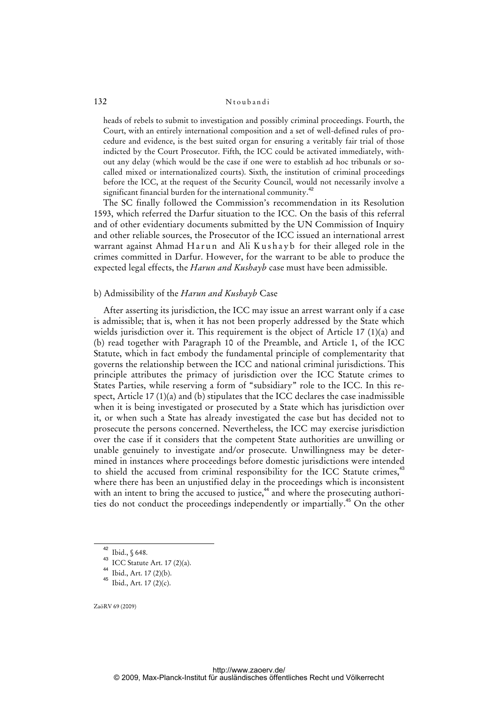heads of rebels to submit to investigation and possibly criminal proceedings. Fourth, the Court, with an entirely international composition and a set of well-defined rules of procedure and evidence, is the best suited organ for ensuring a veritably fair trial of those indicted by the Court Prosecutor. Fifth, the ICC could be activated immediately, without any delay (which would be the case if one were to establish ad hoc tribunals or socalled mixed or internationalized courts). Sixth, the institution of criminal proceedings before the ICC, at the request of the Security Council, would not necessarily involve a significant financial burden for the international community.<sup>42</sup>

 The SC finally followed the Commission's recommendation in its Resolution 1593, which referred the Darfur situation to the ICC. On the basis of this referral and of other evidentiary documents submitted by the UN Commission of Inquiry and other reliable sources, the Prosecutor of the ICC issued an international arrest warrant against Ahmad Harun and Ali Kushayb for their alleged role in the crimes committed in Darfur. However, for the warrant to be able to produce the expected legal effects, the *Harun and Kushayb* case must have been admissible.

#### b) Admissibility of the *Harun and Kushayb* Case

After asserting its jurisdiction, the ICC may issue an arrest warrant only if a case is admissible; that is, when it has not been properly addressed by the State which wields jurisdiction over it. This requirement is the object of Article 17 (1)(a) and (b) read together with Paragraph 10 of the Preamble, and Article 1, of the ICC Statute, which in fact embody the fundamental principle of complementarity that governs the relationship between the ICC and national criminal jurisdictions. This principle attributes the primacy of jurisdiction over the ICC Statute crimes to States Parties, while reserving a form of "subsidiary" role to the ICC. In this respect, Article 17  $(1)(a)$  and (b) stipulates that the ICC declares the case inadmissible when it is being investigated or prosecuted by a State which has jurisdiction over it, or when such a State has already investigated the case but has decided not to prosecute the persons concerned. Nevertheless, the ICC may exercise jurisdiction over the case if it considers that the competent State authorities are unwilling or unable genuinely to investigate and/or prosecute. Unwillingness may be determined in instances where proceedings before domestic jurisdictions were intended to shield the accused from criminal responsibility for the ICC Statute crimes,<sup>43</sup> where there has been an unjustified delay in the proceedings which is inconsistent with an intent to bring the accused to justice,<sup>44</sup> and where the prosecuting authorities do not conduct the proceedings independently or impartially.<sup>45</sup> On the other

 $42$  Ibid., § 648.

<sup>43</sup> ICC Statute Art.  $17(2)(a)$ .

<sup>44</sup> Ibid., Art. 17 (2)(b).

<sup>45</sup> Ibid., Art. 17 (2)(c).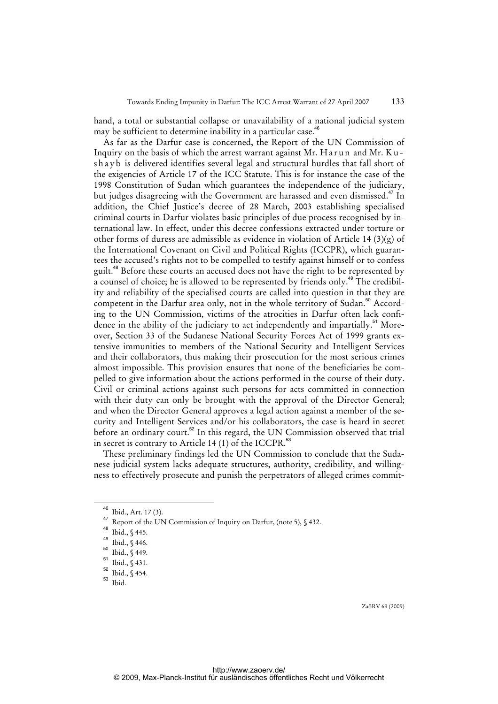hand, a total or substantial collapse or unavailability of a national judicial system may be sufficient to determine inability in a particular case.<sup>46</sup>

 As far as the Darfur case is concerned, the Report of the UN Commission of Inquiry on the basis of which the arrest warrant against Mr. Harun and Mr. Kushayb is delivered identifies several legal and structural hurdles that fall short of the exigencies of Article 17 of the ICC Statute. This is for instance the case of the 1998 Constitution of Sudan which guarantees the independence of the judiciary, but judges disagreeing with the Government are harassed and even dismissed.<sup>47</sup> In addition, the Chief Justice's decree of 28 March, 2003 establishing specialised criminal courts in Darfur violates basic principles of due process recognised by international law. In effect, under this decree confessions extracted under torture or other forms of duress are admissible as evidence in violation of Article 14 (3)(g) of the International Covenant on Civil and Political Rights (ICCPR), which guarantees the accused's rights not to be compelled to testify against himself or to confess guilt.<sup>48</sup> Before these courts an accused does not have the right to be represented by a counsel of choice; he is allowed to be represented by friends only.<sup>49</sup> The credibility and reliability of the specialised courts are called into question in that they are competent in the Darfur area only, not in the whole territory of Sudan.<sup>50</sup> According to the UN Commission, victims of the atrocities in Darfur often lack confidence in the ability of the judiciary to act independently and impartially.<sup>51</sup> Moreover, Section 33 of the Sudanese National Security Forces Act of 1999 grants extensive immunities to members of the National Security and Intelligent Services and their collaborators, thus making their prosecution for the most serious crimes almost impossible. This provision ensures that none of the beneficiaries be compelled to give information about the actions performed in the course of their duty. Civil or criminal actions against such persons for acts committed in connection with their duty can only be brought with the approval of the Director General; and when the Director General approves a legal action against a member of the security and Intelligent Services and/or his collaborators, the case is heard in secret before an ordinary court.<sup>52</sup> In this regard, the UN Commission observed that trial in secret is contrary to Article 14 (1) of the ICCPR.<sup>53</sup>

 These preliminary findings led the UN Commission to conclude that the Sudanese judicial system lacks adequate structures, authority, credibility, and willingness to effectively prosecute and punish the perpetrators of alleged crimes commit-

<sup>46</sup> Ibid., Art. 17 (3).

Report of the UN Commission of Inquiry on Darfur, (note 5), § 432.

<sup>48</sup>  $\overline{1}$  Ibid., § 445.

 $^{49}$  Ibid.,  $\int$  446.

 $\frac{50}{51}$  Ibid., § 449.

Ibid., § 431.

<sup>52</sup> Ibid., § 454.

<sup>53</sup> Ibid.

ZaöRV 69 (2009)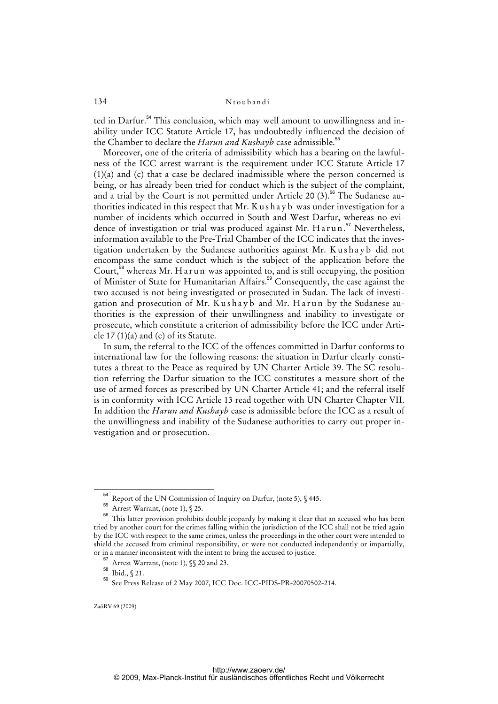ted in Darfur.<sup>54</sup> This conclusion, which may well amount to unwillingness and inability under ICC Statute Article 17, has undoubtedly influenced the decision of the Chamber to declare the *Harun and Kushayb* case admissible.<sup>55</sup>

 Moreover, one of the criteria of admissibility which has a bearing on the lawfulness of the ICC arrest warrant is the requirement under ICC Statute Article 17 (1)(a) and (c) that a case be declared inadmissible where the person concerned is being, or has already been tried for conduct which is the subject of the complaint, and a trial by the Court is not permitted under Article 20  $(3)$ .<sup>56</sup> The Sudanese authorities indicated in this respect that Mr. K u s h a y b was under investigation for a number of incidents which occurred in South and West Darfur, whereas no evidence of investigation or trial was produced against Mr. Harun.<sup>57</sup> Nevertheless, information available to the Pre-Trial Chamber of the ICC indicates that the investigation undertaken by the Sudanese authorities against Mr. Kushayb did not encompass the same conduct which is the subject of the application before the Court,<sup>58</sup> whereas Mr. H a r u n was appointed to, and is still occupying, the position of Minister of State for Humanitarian Affairs.<sup>59</sup> Consequently, the case against the two accused is not being investigated or prosecuted in Sudan. The lack of investigation and prosecution of Mr. Kushayb and Mr. Harun by the Sudanese authorities is the expression of their unwillingness and inability to investigate or prosecute, which constitute a criterion of admissibility before the ICC under Article 17 (1)(a) and (c) of its Statute.

 In sum, the referral to the ICC of the offences committed in Darfur conforms to international law for the following reasons: the situation in Darfur clearly constitutes a threat to the Peace as required by UN Charter Article 39. The SC resolution referring the Darfur situation to the ICC constitutes a measure short of the use of armed forces as prescribed by UN Charter Article 41; and the referral itself is in conformity with ICC Article 13 read together with UN Charter Chapter VII. In addition the *Harun and Kushayb* case is admissible before the ICC as a result of the unwillingness and inability of the Sudanese authorities to carry out proper investigation and or prosecution.

<sup>&</sup>lt;sup>54</sup> Report of the UN Commission of Inquiry on Darfur, (note 5), § 445.<br><sup>55</sup> Arrest Warrant (note 1), § 25.

Arrest Warrant, (note 1), § 25.

<sup>56</sup> This latter provision prohibits double jeopardy by making it clear that an accused who has been tried by another court for the crimes falling within the jurisdiction of the ICC shall not be tried again by the ICC with respect to the same crimes, unless the proceedings in the other court were intended to shield the accused from criminal responsibility, or were not conducted independently or impartially, or in a manner inconsistent with the intent to bring the accused to justice.

Arrest Warrant, (note 1), §§ 20 and 23.

<sup>58</sup> Ibid., § 21.

<sup>59</sup> See Press Release of 2 May 2007, ICC Doc. ICC-PIDS-PR-20070502-214.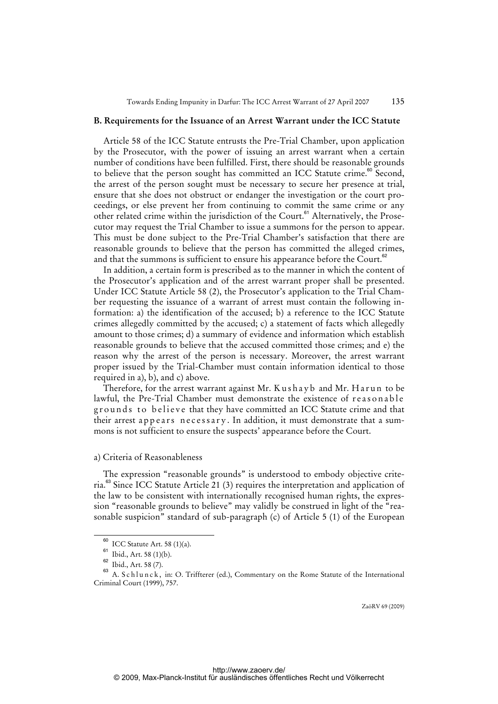#### **B. Requirements for the Issuance of an Arrest Warrant under the ICC Statute**

 Article 58 of the ICC Statute entrusts the Pre-Trial Chamber, upon application by the Prosecutor, with the power of issuing an arrest warrant when a certain number of conditions have been fulfilled. First, there should be reasonable grounds to believe that the person sought has committed an ICC Statute crime.<sup>60</sup> Second, the arrest of the person sought must be necessary to secure her presence at trial, ensure that she does not obstruct or endanger the investigation or the court proceedings, or else prevent her from continuing to commit the same crime or any other related crime within the jurisdiction of the Court.<sup>61</sup> Alternatively, the Prosecutor may request the Trial Chamber to issue a summons for the person to appear. This must be done subject to the Pre-Trial Chamber's satisfaction that there are reasonable grounds to believe that the person has committed the alleged crimes, and that the summons is sufficient to ensure his appearance before the Court.<sup>62</sup>

 In addition, a certain form is prescribed as to the manner in which the content of the Prosecutor's application and of the arrest warrant proper shall be presented. Under ICC Statute Article 58 (2), the Prosecutor's application to the Trial Chamber requesting the issuance of a warrant of arrest must contain the following information: a) the identification of the accused; b) a reference to the ICC Statute crimes allegedly committed by the accused; c) a statement of facts which allegedly amount to those crimes; d) a summary of evidence and information which establish reasonable grounds to believe that the accused committed those crimes; and e) the reason why the arrest of the person is necessary. Moreover, the arrest warrant proper issued by the Trial-Chamber must contain information identical to those required in a), b), and c) above.

Therefore, for the arrest warrant against Mr. Kushayb and Mr. Harun to be lawful, the Pre-Trial Chamber must demonstrate the existence of reasonable grounds to believe that they have committed an ICC Statute crime and that their arrest appears necessary. In addition, it must demonstrate that a summons is not sufficient to ensure the suspects' appearance before the Court.

#### a) Criteria of Reasonableness

 The expression "reasonable grounds" is understood to embody objective criteria.<sup>63</sup> Since ICC Statute Article 21 (3) requires the interpretation and application of the law to be consistent with internationally recognised human rights, the expression "reasonable grounds to believe" may validly be construed in light of the "reasonable suspicion" standard of sub-paragraph (c) of Article 5 (1) of the European

<sup>60</sup> ICC Statute Art. 58 (1)(a).

 $61$  Ibid., Art. 58 (1)(b).

<sup>62</sup> Ibid., Art. 58 (7).

<sup>&</sup>lt;sup>63</sup> A. S c h l u n c k, in: O. Triffterer (ed.), Commentary on the Rome Statute of the International Criminal Court (1999), 757.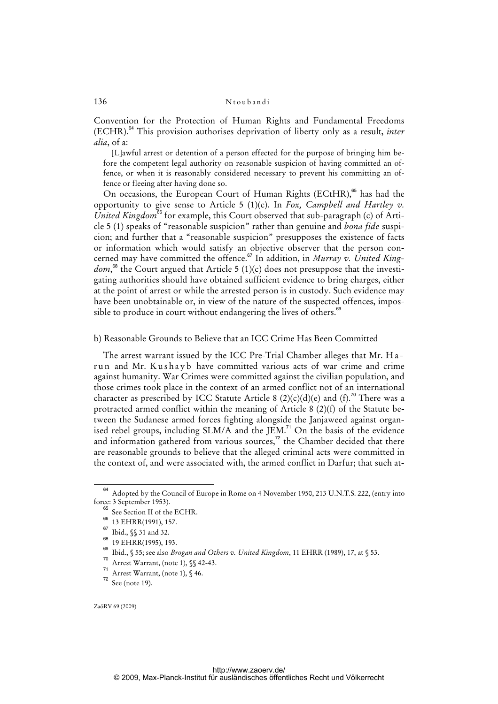Convention for the Protection of Human Rights and Fundamental Freedoms (ECHR).<sup>64</sup> This provision authorises deprivation of liberty only as a result, *inter alia*, of a:

[L]awful arrest or detention of a person effected for the purpose of bringing him before the competent legal authority on reasonable suspicion of having committed an offence, or when it is reasonably considered necessary to prevent his committing an offence or fleeing after having done so.

On occasions, the European Court of Human Rights (ECtHR),<sup>65</sup> has had the opportunity to give sense to Article 5 (1)(c). In *Fox, Campbell and Hartley v.*  United Kingdom<sup>66</sup> for example, this Court observed that sub-paragraph (c) of Article 5 (1) speaks of "reasonable suspicion" rather than genuine and *bona fide* suspicion; and further that a "reasonable suspicion" presupposes the existence of facts or information which would satisfy an objective observer that the person concerned may have committed the offence.<sup>67</sup> In addition, in *Murray v. United King*dom,<sup>68</sup> the Court argued that Article 5 (1)(c) does not presuppose that the investigating authorities should have obtained sufficient evidence to bring charges, either at the point of arrest or while the arrested person is in custody. Such evidence may have been unobtainable or, in view of the nature of the suspected offences, impossible to produce in court without endangering the lives of others.<sup>6</sup>

#### b) Reasonable Grounds to Believe that an ICC Crime Has Been Committed

 The arrest warrant issued by the ICC Pre-Trial Chamber alleges that Mr. H a run and Mr. Kushayb have committed various acts of war crime and crime against humanity. War Crimes were committed against the civilian population, and those crimes took place in the context of an armed conflict not of an international character as prescribed by ICC Statute Article 8 (2)(c)(d)(e) and (f).<sup>70</sup> There was a protracted armed conflict within the meaning of Article 8 (2)(f) of the Statute between the Sudanese armed forces fighting alongside the Janjaweed against organised rebel groups, including SLM/A and the JEM.<sup>71</sup> On the basis of the evidence and information gathered from various sources, $7^2$  the Chamber decided that there are reasonable grounds to believe that the alleged criminal acts were committed in the context of, and were associated with, the armed conflict in Darfur; that such at-

<sup>64</sup> Adopted by the Council of Europe in Rome on 4 November 1950, 213 U.N.T.S. 222, (entry into force: 3 September 1953).

See Section II of the ECHR.

<sup>66 13</sup> EHRR(1991), 157.

<sup>67</sup> Ibid., §§ 31 and 32.

<sup>&</sup>lt;sup>68</sup> 19 EHRR(1995), 193.

<sup>69</sup> Ibid., § 55; see also *Brogan and Others v. United Kingdom*, 11 EHRR (1989), 17, at § 53.

<sup>70</sup> Arrest Warrant, (note 1), *SS* 42-43.

<sup>71</sup> Arrest Warrant, (note 1),  $\sqrt[6]{,}46$ .

 $72$  See (note 19).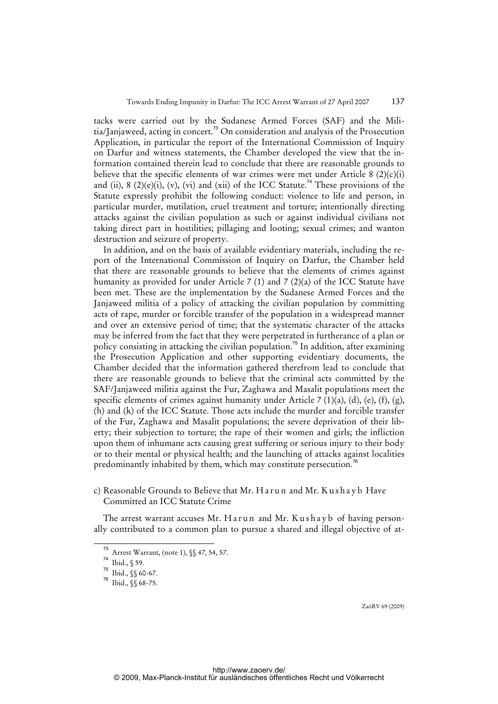tacks were carried out by the Sudanese Armed Forces (SAF) and the Militia/Janjaweed, acting in concert.<sup>73</sup> On consideration and analysis of the Prosecution Application, in particular the report of the International Commission of Inquiry on Darfur and witness statements, the Chamber developed the view that the information contained therein lead to conclude that there are reasonable grounds to believe that the specific elements of war crimes were met under Article 8  $(2)(c)(i)$ and (ii), 8 (2)(e)(i), (v), (vi) and (xii) of the ICC Statute.<sup>74</sup> These provisions of the Statute expressly prohibit the following conduct: violence to life and person, in particular murder, mutilation, cruel treatment and torture; intentionally directing attacks against the civilian population as such or against individual civilians not taking direct part in hostilities; pillaging and looting; sexual crimes; and wanton destruction and seizure of property.

 In addition, and on the basis of available evidentiary materials, including the report of the International Commission of Inquiry on Darfur, the Chamber held that there are reasonable grounds to believe that the elements of crimes against humanity as provided for under Article 7 (1) and 7 (2)(a) of the ICC Statute have been met. These are the implementation by the Sudanese Armed Forces and the Janjaweed militia of a policy of attacking the civilian population by committing acts of rape, murder or forcible transfer of the population in a widespread manner and over an extensive period of time; that the systematic character of the attacks may be inferred from the fact that they were perpetrated in furtherance of a plan or policy consisting in attacking the civilian population.<sup>75</sup> In addition, after examining the Prosecution Application and other supporting evidentiary documents, the Chamber decided that the information gathered therefrom lead to conclude that there are reasonable grounds to believe that the criminal acts committed by the SAF/Janjaweed militia against the Fur, Zaghawa and Masalit populations meet the specific elements of crimes against humanity under Article 7 (1)(a), (d), (e), (f), (g), (h) and (k) of the ICC Statute. Those acts include the murder and forcible transfer of the Fur, Zaghawa and Masalit populations; the severe deprivation of their liberty; their subjection to torture; the rape of their women and girls; the infliction upon them of inhumane acts causing great suffering or serious injury to their body or to their mental or physical health; and the launching of attacks against localities predominantly inhabited by them, which may constitute persecution.<sup>76</sup>

c) Reasonable Grounds to Believe that Mr. H a r u n and Mr. K u s h a y b Have Committed an ICC Statute Crime

The arrest warrant accuses Mr. Harun and Mr. Kushavb of having personally contributed to a common plan to pursue a shared and illegal objective of at-

 $\overline{73}$  Arrest Warrant, (note 1), §§ 47, 54, 57.

<sup>74</sup> Ibid., § 59.

 $75$  Ibid.,  $\S$  60-67.

<sup>76</sup> Ibid., §§ 68-75.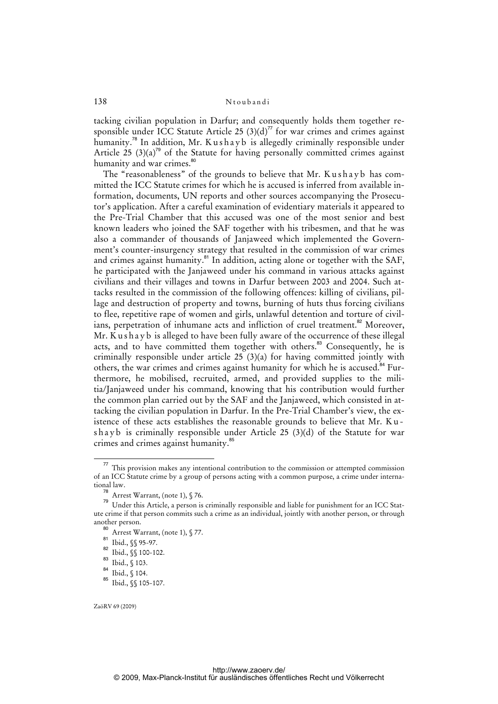tacking civilian population in Darfur; and consequently holds them together responsible under ICC Statute Article 25  $(3)(d)^{77}$  for war crimes and crimes against humanity.<sup>78</sup> In addition, Mr. K u s h a y b is allegedly criminally responsible under Article  $25$  (3)(a)<sup>79</sup> of the Statute for having personally committed crimes against humanity and war crimes.<sup>80</sup>

The "reasonableness" of the grounds to believe that Mr. Kushayb has committed the ICC Statute crimes for which he is accused is inferred from available information, documents, UN reports and other sources accompanying the Prosecutor's application. After a careful examination of evidentiary materials it appeared to the Pre-Trial Chamber that this accused was one of the most senior and best known leaders who joined the SAF together with his tribesmen, and that he was also a commander of thousands of Janjaweed which implemented the Government's counter-insurgency strategy that resulted in the commission of war crimes and crimes against humanity.<sup>81</sup> In addition, acting alone or together with the SAF, he participated with the Janjaweed under his command in various attacks against civilians and their villages and towns in Darfur between 2003 and 2004. Such attacks resulted in the commission of the following offences: killing of civilians, pillage and destruction of property and towns, burning of huts thus forcing civilians to flee, repetitive rape of women and girls, unlawful detention and torture of civilians, perpetration of inhumane acts and infliction of cruel treatment.<sup>82</sup> Moreover,  $Mr.$  K u s h a y b is alleged to have been fully aware of the occurrence of these illegal acts, and to have committed them together with others.<sup>83</sup> Consequently, he is criminally responsible under article 25 (3)(a) for having committed jointly with others, the war crimes and crimes against humanity for which he is accused.<sup>84</sup> Furthermore, he mobilised, recruited, armed, and provided supplies to the militia/Janjaweed under his command, knowing that his contribution would further the common plan carried out by the SAF and the Janjaweed, which consisted in attacking the civilian population in Darfur. In the Pre-Trial Chamber's view, the existence of these acts establishes the reasonable grounds to believe that Mr. K u shayb is criminally responsible under Article 25 (3)(d) of the Statute for war crimes and crimes against humanity.<sup>85</sup>

 $77$  This provision makes any intentional contribution to the commission or attempted commission of an ICC Statute crime by a group of persons acting with a common purpose, a crime under international law.

<sup>&</sup>lt;sup>78</sup> Arrest Warrant, (note 1),  $\sqrt[6]{76}$ .

Threst warrants (note 2,5 years).<br><sup>79</sup> Under this Article, a person is criminally responsible and liable for punishment for an ICC Statute crime if that person commits such a crime as an individual, jointly with another person, or through another person.

<sup>80</sup> Arrest Warrant, (note 1), § 77.

 $\frac{81}{82}$  Ibid.,  $\frac{6}{3}$  95-97.

 $\frac{82}{83}$  Ibid.,  $\frac{6}{3}$  100-102.

Ibid., § 103.

<sup>84</sup> Ibid., § 104.

<sup>85</sup> Ibid., §§ 105-107.

ZaöRV 69 (2009)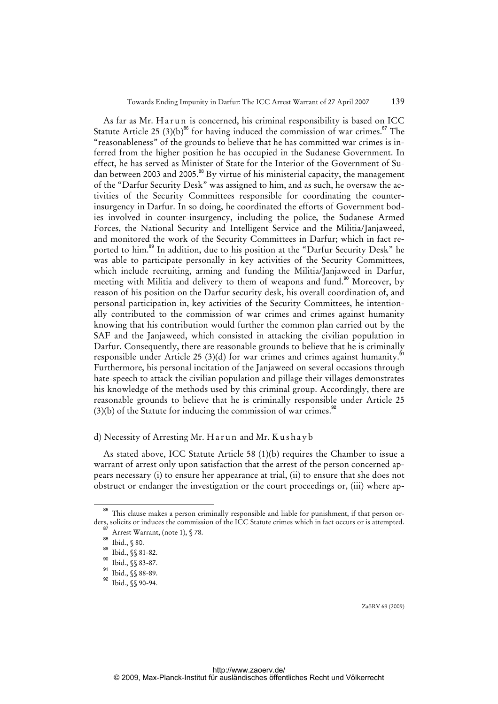As far as Mr. Harun is concerned, his criminal responsibility is based on ICC Statute Article 25 (3)(b)<sup>86</sup> for having induced the commission of war crimes.<sup>87</sup> The "reasonableness" of the grounds to believe that he has committed war crimes is inferred from the higher position he has occupied in the Sudanese Government. In effect, he has served as Minister of State for the Interior of the Government of Sudan between 2003 and 2005.<sup>88</sup> By virtue of his ministerial capacity, the management of the "Darfur Security Desk" was assigned to him, and as such, he oversaw the activities of the Security Committees responsible for coordinating the counterinsurgency in Darfur. In so doing, he coordinated the efforts of Government bodies involved in counter-insurgency, including the police, the Sudanese Armed Forces, the National Security and Intelligent Service and the Militia/Janjaweed, and monitored the work of the Security Committees in Darfur; which in fact reported to him.<sup>89</sup> In addition, due to his position at the "Darfur Security Desk" he was able to participate personally in key activities of the Security Committees, which include recruiting, arming and funding the Militia/Janjaweed in Darfur, meeting with Militia and delivery to them of weapons and fund.<sup>90</sup> Moreover, by reason of his position on the Darfur security desk, his overall coordination of, and personal participation in, key activities of the Security Committees, he intentionally contributed to the commission of war crimes and crimes against humanity knowing that his contribution would further the common plan carried out by the SAF and the Janjaweed, which consisted in attacking the civilian population in Darfur. Consequently, there are reasonable grounds to believe that he is criminally responsible under Article 25 (3)(d) for war crimes and crimes against humanity.<sup>91</sup> Furthermore, his personal incitation of the Janjaweed on several occasions through hate-speech to attack the civilian population and pillage their villages demonstrates his knowledge of the methods used by this criminal group. Accordingly, there are reasonable grounds to believe that he is criminally responsible under Article 25  $(3)(b)$  of the Statute for inducing the commission of war crimes.<sup>92</sup>

#### d) Necessity of Arresting Mr. Harun and Mr. Kushayb

As stated above, ICC Statute Article 58 (1)(b) requires the Chamber to issue a warrant of arrest only upon satisfaction that the arrest of the person concerned appears necessary (i) to ensure her appearance at trial, (ii) to ensure that she does not obstruct or endanger the investigation or the court proceedings or, (iii) where ap-

<sup>86</sup> This clause makes a person criminally responsible and liable for punishment, if that person orders, solicits or induces the commission of the ICC Statute crimes which in fact occurs or is attempted.

Arrest Warrant, (note 1), § 78.

<sup>88</sup> Ibid., § 80.

 $rac{89}{101}$  Ibid.,  $}\$  81-82.

Ibid., §§ 83-87.

<sup>91</sup> Ibid., §§ 88-89.

<sup>92</sup> Ibid., §§ 90-94.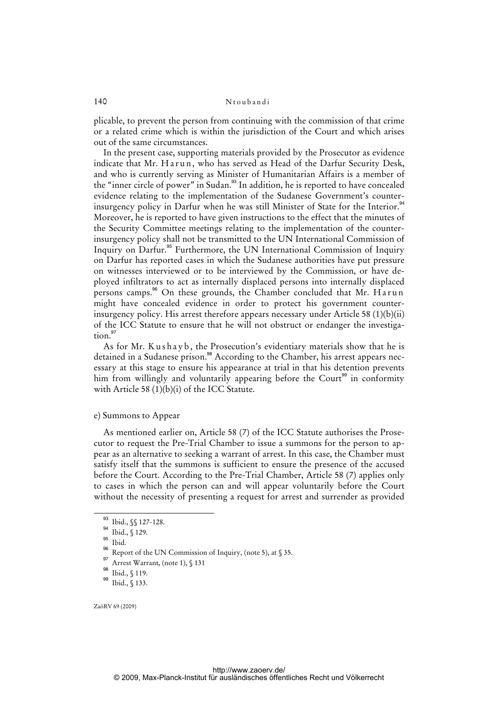plicable, to prevent the person from continuing with the commission of that crime or a related crime which is within the jurisdiction of the Court and which arises out of the same circumstances.

 In the present case, supporting materials provided by the Prosecutor as evidence indicate that Mr. Harun, who has served as Head of the Darfur Security Desk, and who is currently serving as Minister of Humanitarian Affairs is a member of the "inner circle of power" in Sudan.<sup>93</sup> In addition, he is reported to have concealed evidence relating to the implementation of the Sudanese Government's counterinsurgency policy in Darfur when he was still Minister of State for the Interior.<sup>94</sup> Moreover, he is reported to have given instructions to the effect that the minutes of the Security Committee meetings relating to the implementation of the counterinsurgency policy shall not be transmitted to the UN International Commission of Inquiry on Darfur.<sup>95</sup> Furthermore, the UN International Commission of Inquiry on Darfur has reported cases in which the Sudanese authorities have put pressure on witnesses interviewed or to be interviewed by the Commission, or have deployed infiltrators to act as internally displaced persons into internally displaced persons camps.<sup>96</sup> On these grounds, the Chamber concluded that Mr. Harun might have concealed evidence in order to protect his government counterinsurgency policy. His arrest therefore appears necessary under Article 58 (1)(b)(ii) of the ICC Statute to ensure that he will not obstruct or endanger the investiga $tion<sup>97</sup>$ 

As for Mr. Kushayb, the Prosecution's evidentiary materials show that he is detained in a Sudanese prison.<sup>98</sup> According to the Chamber, his arrest appears necessary at this stage to ensure his appearance at trial in that his detention prevents him from willingly and voluntarily appearing before the  $Count<sup>99</sup>$  in conformity with Article 58 (1)(b)(i) of the ICC Statute.

#### e) Summons to Appear

 As mentioned earlier on, Article 58 (7) of the ICC Statute authorises the Prosecutor to request the Pre-Trial Chamber to issue a summons for the person to appear as an alternative to seeking a warrant of arrest. In this case, the Chamber must satisfy itself that the summons is sufficient to ensure the presence of the accused before the Court. According to the Pre-Trial Chamber, Article 58 (7) applies only to cases in which the person can and will appear voluntarily before the Court without the necessity of presenting a request for arrest and surrender as provided

 $\frac{1}{93}$  Ibid.,  $\sqrt{$}$  127-128.

<sup>94</sup> Ibid., § 129.

<sup>&</sup>lt;sup>95</sup> Ibid.

 $^{96}_{97}$  Report of the UN Commission of Inquiry, (note 5), at § 35.

Arrest Warrant, (note 1), § 131

<sup>98</sup> Ibid., § 119.

<sup>99</sup> Ibid., § 133.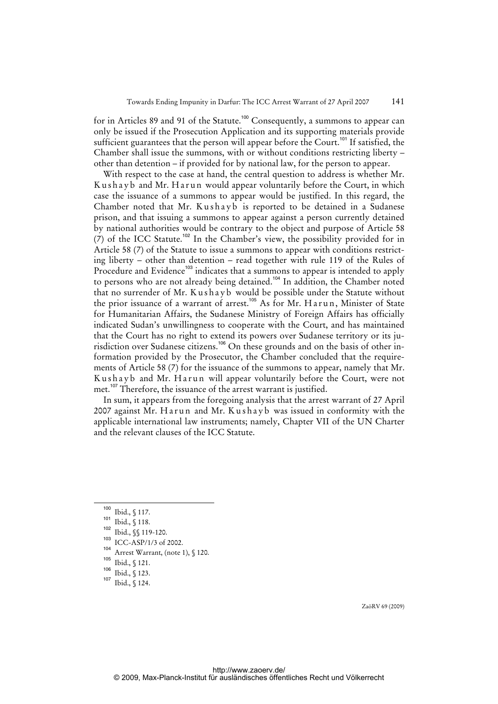for in Articles 89 and 91 of the Statute.<sup>100</sup> Consequently, a summons to appear can only be issued if the Prosecution Application and its supporting materials provide sufficient guarantees that the person will appear before the Court.<sup>101</sup> If satisfied, the Chamber shall issue the summons, with or without conditions restricting liberty – other than detention – if provided for by national law, for the person to appear.

 With respect to the case at hand, the central question to address is whether Mr. Kushayb and Mr. Harun would appear voluntarily before the Court, in which case the issuance of a summons to appear would be justified. In this regard, the Chamber noted that Mr. Kushayb is reported to be detained in a Sudanese prison, and that issuing a summons to appear against a person currently detained by national authorities would be contrary to the object and purpose of Article 58 (7) of the ICC Statute.<sup>102</sup> In the Chamber's view, the possibility provided for in Article 58 (7) of the Statute to issue a summons to appear with conditions restricting liberty – other than detention – read together with rule 119 of the Rules of Procedure and Evidence<sup>103</sup> indicates that a summons to appear is intended to apply to persons who are not already being detained.<sup>104</sup> In addition, the Chamber noted that no surrender of Mr. K ush a y b would be possible under the Statute without the prior issuance of a warrant of arrest.<sup>105</sup> As for Mr. Harun, Minister of State for Humanitarian Affairs, the Sudanese Ministry of Foreign Affairs has officially indicated Sudan's unwillingness to cooperate with the Court, and has maintained that the Court has no right to extend its powers over Sudanese territory or its jurisdiction over Sudanese citizens.<sup>106</sup> On these grounds and on the basis of other information provided by the Prosecutor, the Chamber concluded that the requirements of Article 58 (7) for the issuance of the summons to appear, namely that Mr. Kushayb and Mr. Harun will appear voluntarily before the Court, were not met.<sup>107</sup> Therefore, the issuance of the arrest warrant is justified.

 In sum, it appears from the foregoing analysis that the arrest warrant of 27 April 2007 against Mr. Harun and Mr. Kushayb was issued in conformity with the applicable international law instruments; namely, Chapter VII of the UN Charter and the relevant clauses of the ICC Statute.

<sup>100</sup> Ibid., § 117.

<sup>101</sup> Ibid., § 118.

 $^{102}$  Ibid.,  $\frac{103}{103}$   $\frac{100}{100}$   $\frac{100}{100}$   $\frac{100}{100}$ 

ICC-ASP/1/3 of 2002.

 $104$  Arrest Warrant, (note 1), § 120.

 $\frac{105}{106}$  Ibid., § 121.

 $\frac{106}{107}$  Ibid., § 123.

Ibid., § 124.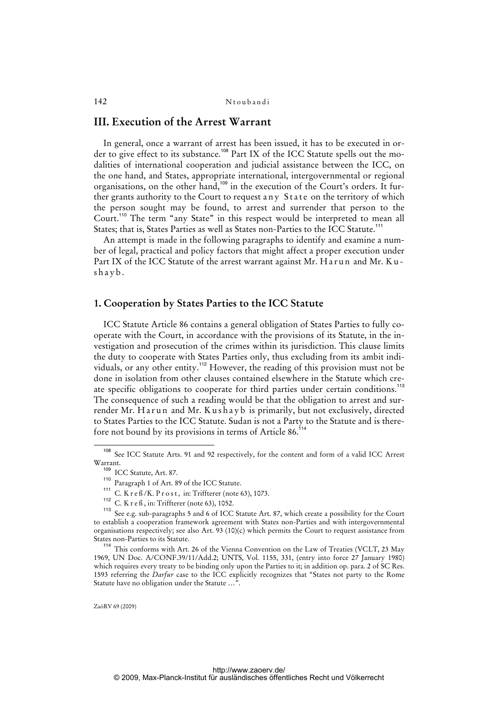# **III. Execution of the Arrest Warrant**

 In general, once a warrant of arrest has been issued, it has to be executed in order to give effect to its substance.<sup>108</sup> Part IX of the ICC Statute spells out the modalities of international cooperation and judicial assistance between the ICC, on the one hand, and States, appropriate international, intergovernmental or regional organisations, on the other hand,<sup>109</sup> in the execution of the Court's orders. It further grants authority to the Court to request any State on the territory of which the person sought may be found, to arrest and surrender that person to the Court.<sup>110</sup> The term "any State" in this respect would be interpreted to mean all States; that is, States Parties as well as States non-Parties to the ICC Statute.<sup>111</sup>

 An attempt is made in the following paragraphs to identify and examine a number of legal, practical and policy factors that might affect a proper execution under Part IX of the ICC Statute of the arrest warrant against Mr. Harun and Mr. Kushayb.

### **1. Cooperation by States Parties to the ICC Statute**

 ICC Statute Article 86 contains a general obligation of States Parties to fully cooperate with the Court, in accordance with the provisions of its Statute, in the investigation and prosecution of the crimes within its jurisdiction. This clause limits the duty to cooperate with States Parties only, thus excluding from its ambit individuals, or any other entity.<sup>112</sup> However, the reading of this provision must not be done in isolation from other clauses contained elsewhere in the Statute which create specific obligations to cooperate for third parties under certain conditions.<sup>113</sup> The consequence of such a reading would be that the obligation to arrest and surrender Mr. Harun and Mr. Kushayb is primarily, but not exclusively, directed to States Parties to the ICC Statute. Sudan is not a Party to the Statute and is therefore not bound by its provisions in terms of Article 86.<sup>1</sup>

<sup>108</sup> See ICC Statute Arts. 91 and 92 respectively, for the content and form of a valid ICC Arrest Warrant.

<sup>109</sup> ICC Statute, Art. 87.

<sup>110</sup> Paragraph 1 of Art. 89 of the ICC Statute.

 $111$  C. K r e  $\frac{6}{K}$ . P r o s t, in: Triffterer (note 63), 1073.

<sup>112</sup> C. K r e ß, in: Triffterer (note 63), 1052.

See e.g. sub-paragraphs 5 and 6 of ICC Statute Art. 87, which create a possibility for the Court to establish a cooperation framework agreement with States non-Parties and with intergovernmental organisations respectively; see also Art. 93 (10)(c) which permits the Court to request assistance from States non-Parties to its Statute.

<sup>114</sup> This conforms with Art. 26 of the Vienna Convention on the Law of Treaties (VCLT, 23 May 1969, UN Doc. A/CONF.39/11/Add.2; UNTS, Vol. 1155, 331, (entry into force 27 January 1980) which requires every treaty to be binding only upon the Parties to it; in addition op. para. 2 of SC Res. 1593 referring the *Darfur* case to the ICC explicitly recognizes that "States not party to the Rome Statute have no obligation under the Statute …".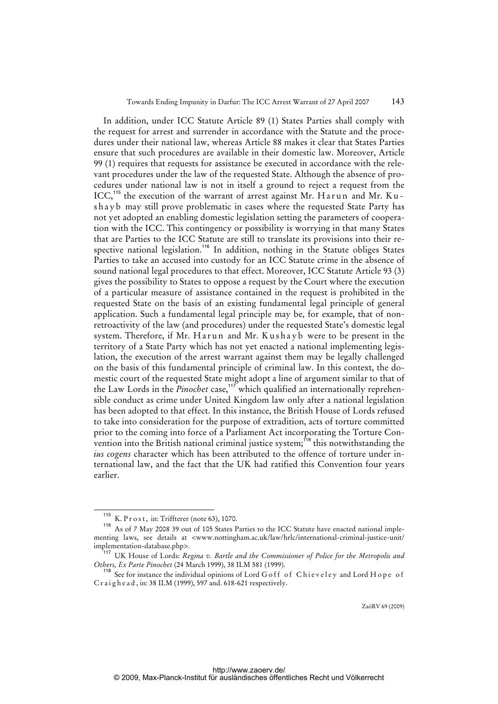In addition, under ICC Statute Article 89 (1) States Parties shall comply with the request for arrest and surrender in accordance with the Statute and the procedures under their national law, whereas Article 88 makes it clear that States Parties ensure that such procedures are available in their domestic law. Moreover, Article 99 (1) requires that requests for assistance be executed in accordance with the relevant procedures under the law of the requested State. Although the absence of procedures under national law is not in itself a ground to reject a request from the ICC,<sup>115</sup> the execution of the warrant of arrest against Mr. Harun and Mr. Kushayb may still prove problematic in cases where the requested State Party has not yet adopted an enabling domestic legislation setting the parameters of cooperation with the ICC. This contingency or possibility is worrying in that many States that are Parties to the ICC Statute are still to translate its provisions into their respective national legislation.<sup>116</sup> In addition, nothing in the Statute obliges States Parties to take an accused into custody for an ICC Statute crime in the absence of sound national legal procedures to that effect. Moreover, ICC Statute Article 93 (3) gives the possibility to States to oppose a request by the Court where the execution of a particular measure of assistance contained in the request is prohibited in the requested State on the basis of an existing fundamental legal principle of general application. Such a fundamental legal principle may be, for example, that of nonretroactivity of the law (and procedures) under the requested State's domestic legal system. Therefore, if Mr. Harun and Mr. Kushayb were to be present in the territory of a State Party which has not yet enacted a national implementing legislation, the execution of the arrest warrant against them may be legally challenged on the basis of this fundamental principle of criminal law. In this context, the domestic court of the requested State might adopt a line of argument similar to that of the Law Lords in the *Pinochet* case,<sup>117</sup> which qualified an internationally reprehensible conduct as crime under United Kingdom law only after a national legislation has been adopted to that effect. In this instance, the British House of Lords refused to take into consideration for the purpose of extradition, acts of torture committed prior to the coming into force of a Parliament Act incorporating the Torture Convention into the British national criminal justice system; $^{118}$  this notwithstanding the *ius cogens* character which has been attributed to the offence of torture under international law, and the fact that the UK had ratified this Convention four years earlier.

<sup>&</sup>lt;sup>115</sup> K. P r o s t, in: Triffterer (note 63), 1070.<br><sup>116</sup> A s of 7 May 2008, 39 out of 105 States E

As of 7 May 2008 39 out of 105 States Parties to the ICC Statute have enacted national implementing laws, see details at <www.nottingham.ac.uk/law/hrlc/international-criminal-justice-unit/ implementation-database.php>.

<sup>&</sup>lt;sup>17</sup> UK House of Lords: *Regina v. Bartle and the Commissioner of Police for the Metropolis and Others, Ex Parte Pinochet* (24 March 1999), 38 ILM 581 (1999).

<sup>&</sup>lt;sup>118</sup> See for instance the individual opinions of Lord G off of Chieveley and Lord H ope of C r a i g h e a d, in: 38 ILM (1999), 597 and. 618-621 respectively.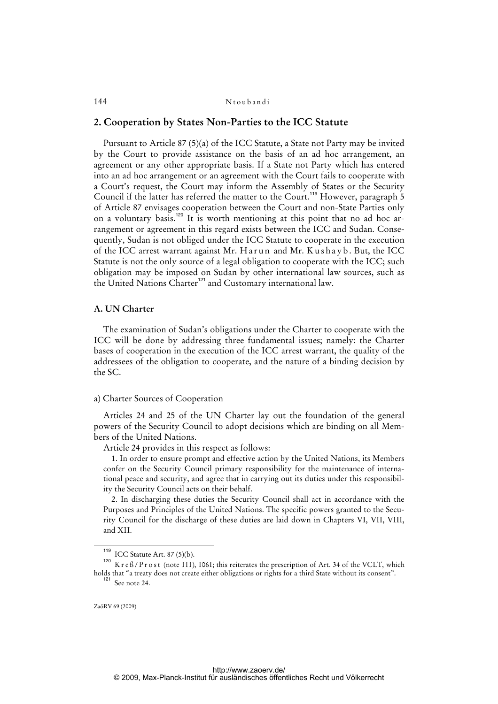#### **2. Cooperation by States Non-Parties to the ICC Statute**

 Pursuant to Article 87 (5)(a) of the ICC Statute, a State not Party may be invited by the Court to provide assistance on the basis of an ad hoc arrangement, an agreement or any other appropriate basis. If a State not Party which has entered into an ad hoc arrangement or an agreement with the Court fails to cooperate with a Court's request, the Court may inform the Assembly of States or the Security Council if the latter has referred the matter to the Court.<sup>119</sup> However, paragraph 5 of Article 87 envisages cooperation between the Court and non-State Parties only on a voluntary basis.<sup>120</sup> It is worth mentioning at this point that no ad hoc arrangement or agreement in this regard exists between the ICC and Sudan. Consequently, Sudan is not obliged under the ICC Statute to cooperate in the execution of the ICC arrest warrant against Mr. Harun and Mr. Kushayb. But, the ICC Statute is not the only source of a legal obligation to cooperate with the ICC; such obligation may be imposed on Sudan by other international law sources, such as the United Nations Charter<sup>121</sup> and Customary international law.

#### **A. UN Charter**

 The examination of Sudan's obligations under the Charter to cooperate with the ICC will be done by addressing three fundamental issues; namely: the Charter bases of cooperation in the execution of the ICC arrest warrant, the quality of the addressees of the obligation to cooperate, and the nature of a binding decision by the SC.

#### a) Charter Sources of Cooperation

Articles 24 and 25 of the UN Charter lay out the foundation of the general powers of the Security Council to adopt decisions which are binding on all Members of the United Nations.

Article 24 provides in this respect as follows:

1. In order to ensure prompt and effective action by the United Nations, its Members confer on the Security Council primary responsibility for the maintenance of international peace and security, and agree that in carrying out its duties under this responsibility the Security Council acts on their behalf.

2. In discharging these duties the Security Council shall act in accordance with the Purposes and Principles of the United Nations. The specific powers granted to the Security Council for the discharge of these duties are laid down in Chapters VI, VII, VIII, and XII.

<sup>119</sup> ICC Statute Art. 87 (5)(b).

 $120$  K r e ß / P r o st (note 111), 1061; this reiterates the prescription of Art. 34 of the VCLT, which holds that "a treaty does not create either obligations or rights for a third State without its consent". <sup>121</sup> See note 24.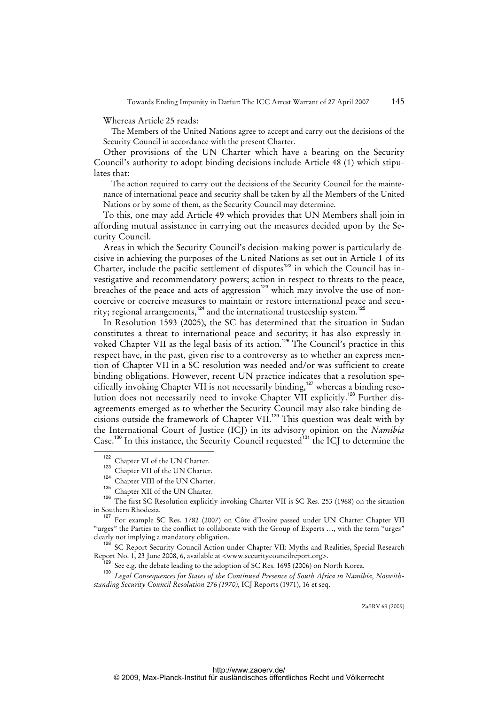Whereas Article 25 reads:

The Members of the United Nations agree to accept and carry out the decisions of the Security Council in accordance with the present Charter.

 Other provisions of the UN Charter which have a bearing on the Security Council's authority to adopt binding decisions include Article 48 (1) which stipulates that:

The action required to carry out the decisions of the Security Council for the maintenance of international peace and security shall be taken by all the Members of the United Nations or by some of them, as the Security Council may determine.

 To this, one may add Article 49 which provides that UN Members shall join in affording mutual assistance in carrying out the measures decided upon by the Security Council.

 Areas in which the Security Council's decision-making power is particularly decisive in achieving the purposes of the United Nations as set out in Article 1 of its Charter, include the pacific settlement of disputes<sup>122</sup> in which the Council has investigative and recommendatory powers; action in respect to threats to the peace, breaches of the peace and acts of aggression<sup>123</sup> which may involve the use of noncoercive or coercive measures to maintain or restore international peace and security; regional arrangements,<sup>124</sup> and the international trusteeship system.<sup>125</sup>

 In Resolution 1593 (2005), the SC has determined that the situation in Sudan constitutes a threat to international peace and security; it has also expressly invoked Chapter VII as the legal basis of its action.<sup>126</sup> The Council's practice in this respect have, in the past, given rise to a controversy as to whether an express mention of Chapter VII in a SC resolution was needed and/or was sufficient to create binding obligations. However, recent UN practice indicates that a resolution specifically invoking Chapter VII is not necessarily binding,<sup>127</sup> whereas a binding resolution does not necessarily need to invoke Chapter VII explicitly.<sup>128</sup> Further disagreements emerged as to whether the Security Council may also take binding decisions outside the framework of Chapter VII.<sup>129</sup> This question was dealt with by the International Court of Justice (ICJ) in its advisory opinion on the *Namibia*  Case.<sup>130</sup> In this instance, the Security Council requested<sup>131</sup> the ICJ to determine the

<sup>128</sup> SC Report Security Council Action under Chapter VII: Myths and Realities, Special Research Report No. 1, 23 June 2008, 6, available at <www.securitycouncilreport.org>.

 $^3$  See e.g. the debate leading to the adoption of SC Res. 1695 (2006) on North Korea.

<sup>130</sup> *Legal Consequences for States of the Continued Presence of South Africa in Namibia, Notwithstanding Security Council Resolution 276 (1970)*, ICJ Reports (1971), 16 et seq.

<sup>122</sup> Chapter VI of the UN Charter.

 $\frac{123}{124}$  Chapter VII of the UN Charter.

Chapter VIII of the UN Charter.

Chapter XII of the UN Charter.

<sup>126</sup> The first SC Resolution explicitly invoking Charter VII is SC Res. 253 (1968) on the situation in Southern Rhodesia.

<sup>&</sup>lt;sup>127</sup> For example SC Res. 1782 (2007) on Côte d'Ivoire passed under UN Charter Chapter VII "urges" the Parties to the conflict to collaborate with the Group of Experts …, with the term "urges" clearly not implying a mandatory obligation.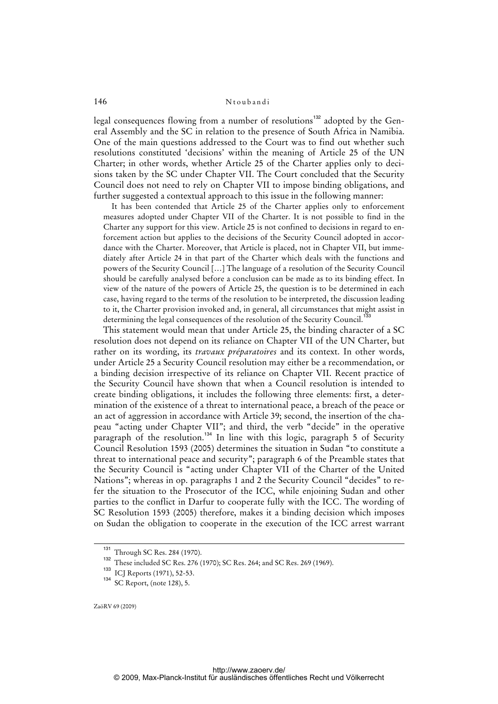legal consequences flowing from a number of resolutions<sup>132</sup> adopted by the General Assembly and the SC in relation to the presence of South Africa in Namibia. One of the main questions addressed to the Court was to find out whether such resolutions constituted 'decisions' within the meaning of Article 25 of the UN Charter; in other words, whether Article 25 of the Charter applies only to decisions taken by the SC under Chapter VII. The Court concluded that the Security Council does not need to rely on Chapter VII to impose binding obligations, and further suggested a contextual approach to this issue in the following manner:

It has been contended that Article 25 of the Charter applies only to enforcement measures adopted under Chapter VII of the Charter. It is not possible to find in the Charter any support for this view. Article 25 is not confined to decisions in regard to enforcement action but applies to the decisions of the Security Council adopted in accordance with the Charter. Moreover, that Article is placed, not in Chapter VII, but immediately after Article 24 in that part of the Charter which deals with the functions and powers of the Security Council […] The language of a resolution of the Security Council should be carefully analysed before a conclusion can be made as to its binding effect. In view of the nature of the powers of Article 25, the question is to be determined in each case, having regard to the terms of the resolution to be interpreted, the discussion leading to it, the Charter provision invoked and, in general, all circumstances that might assist in determining the legal consequences of the resolution of the Security Council.<sup>1</sup>

 This statement would mean that under Article 25, the binding character of a SC resolution does not depend on its reliance on Chapter VII of the UN Charter, but rather on its wording, its *travaux préparatoires* and its context. In other words, under Article 25 a Security Council resolution may either be a recommendation, or a binding decision irrespective of its reliance on Chapter VII. Recent practice of the Security Council have shown that when a Council resolution is intended to create binding obligations, it includes the following three elements: first, a determination of the existence of a threat to international peace, a breach of the peace or an act of aggression in accordance with Article 39; second, the insertion of the chapeau "acting under Chapter VII"; and third, the verb "decide" in the operative paragraph of the resolution.<sup>134</sup> In line with this logic, paragraph 5 of Security Council Resolution 1593 (2005) determines the situation in Sudan "to constitute a threat to international peace and security"; paragraph 6 of the Preamble states that the Security Council is "acting under Chapter VII of the Charter of the United Nations"; whereas in op. paragraphs 1 and 2 the Security Council "decides" to refer the situation to the Prosecutor of the ICC, while enjoining Sudan and other parties to the conflict in Darfur to cooperate fully with the ICC. The wording of SC Resolution 1593 (2005) therefore, makes it a binding decision which imposes on Sudan the obligation to cooperate in the execution of the ICC arrest warrant

<sup>&</sup>lt;sup>131</sup> Through SC Res. 284 (1970).

<sup>132</sup> These included SC Res. 276 (1970); SC Res. 264; and SC Res. 269 (1969).

<sup>133</sup> ICJ Reports (1971), 52-53.

<sup>134</sup> SC Report, (note 128), 5.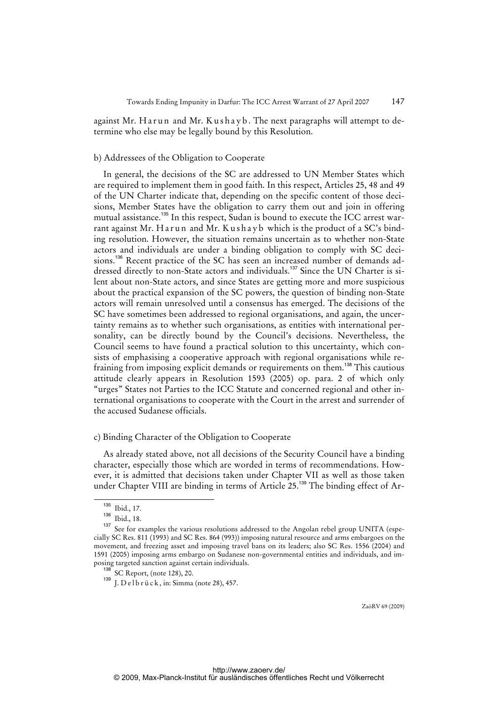against Mr. Harun and Mr. Kushayb. The next paragraphs will attempt to determine who else may be legally bound by this Resolution.

#### b) Addressees of the Obligation to Cooperate

 In general, the decisions of the SC are addressed to UN Member States which are required to implement them in good faith. In this respect, Articles 25, 48 and 49 of the UN Charter indicate that, depending on the specific content of those decisions, Member States have the obligation to carry them out and join in offering mutual assistance.<sup>135</sup> In this respect, Sudan is bound to execute the ICC arrest warrant against Mr. Harun and Mr. Kushayb which is the product of a SC's binding resolution. However, the situation remains uncertain as to whether non-State actors and individuals are under a binding obligation to comply with SC decisions.<sup>136</sup> Recent practice of the SC has seen an increased number of demands addressed directly to non-State actors and individuals.<sup>137</sup> Since the UN Charter is silent about non-State actors, and since States are getting more and more suspicious about the practical expansion of the SC powers, the question of binding non-State actors will remain unresolved until a consensus has emerged. The decisions of the SC have sometimes been addressed to regional organisations, and again, the uncertainty remains as to whether such organisations, as entities with international personality, can be directly bound by the Council's decisions. Nevertheless, the Council seems to have found a practical solution to this uncertainty, which consists of emphasising a cooperative approach with regional organisations while refraining from imposing explicit demands or requirements on them.<sup>138</sup> This cautious attitude clearly appears in Resolution 1593 (2005) op. para. 2 of which only "urges" States not Parties to the ICC Statute and concerned regional and other international organisations to cooperate with the Court in the arrest and surrender of the accused Sudanese officials.

#### c) Binding Character of the Obligation to Cooperate

 As already stated above, not all decisions of the Security Council have a binding character, especially those which are worded in terms of recommendations. However, it is admitted that decisions taken under Chapter VII as well as those taken under Chapter VIII are binding in terms of Article 25.<sup>139</sup> The binding effect of Ar-

 $\frac{135}{136}$  Ibid., 17.

 $\frac{136}{137}$  Ibid., 18.

See for examples the various resolutions addressed to the Angolan rebel group UNITA (especially SC Res. 811 (1993) and SC Res. 864 (993)) imposing natural resource and arms embargoes on the movement, and freezing asset and imposing travel bans on its leaders; also SC Res. 1556 (2004) and 1591 (2005) imposing arms embargo on Sudanese non-governmental entities and individuals, and imposing targeted sanction against certain individuals.

<sup>&</sup>lt;sup>138</sup> SC Report, (note 128), 20.

<sup>&</sup>lt;sup>139</sup> J. D e l b r ü c k, in: Simma (note 28), 457.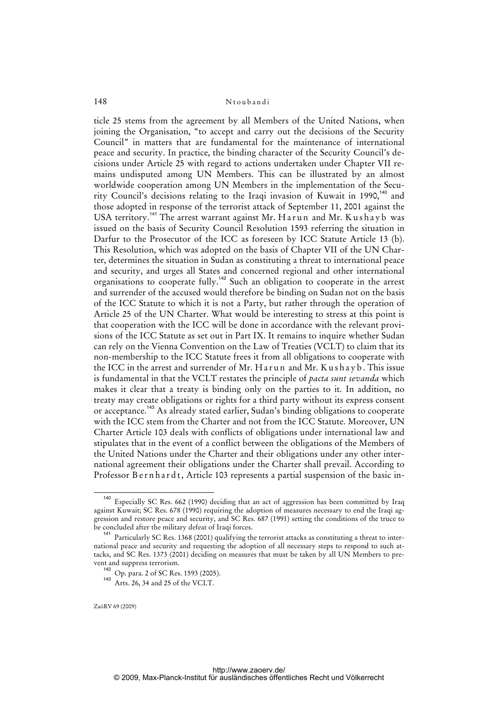ticle 25 stems from the agreement by all Members of the United Nations, when joining the Organisation, "to accept and carry out the decisions of the Security Council" in matters that are fundamental for the maintenance of international peace and security. In practice, the binding character of the Security Council's decisions under Article 25 with regard to actions undertaken under Chapter VII remains undisputed among UN Members. This can be illustrated by an almost worldwide cooperation among UN Members in the implementation of the Security Council's decisions relating to the Iraqi invasion of Kuwait in 1990,<sup>140</sup> and those adopted in response of the terrorist attack of September 11, 2001 against the USA territory.<sup>141</sup> The arrest warrant against Mr. Harun and Mr. Kushayb was issued on the basis of Security Council Resolution 1593 referring the situation in Darfur to the Prosecutor of the ICC as foreseen by ICC Statute Article 13 (b). This Resolution, which was adopted on the basis of Chapter VII of the UN Charter, determines the situation in Sudan as constituting a threat to international peace and security, and urges all States and concerned regional and other international organisations to cooperate fully.<sup>142</sup> Such an obligation to cooperate in the arrest and surrender of the accused would therefore be binding on Sudan not on the basis of the ICC Statute to which it is not a Party, but rather through the operation of Article 25 of the UN Charter. What would be interesting to stress at this point is that cooperation with the ICC will be done in accordance with the relevant provisions of the ICC Statute as set out in Part IX. It remains to inquire whether Sudan can rely on the Vienna Convention on the Law of Treaties (VCLT) to claim that its non-membership to the ICC Statute frees it from all obligations to cooperate with the ICC in the arrest and surrender of Mr. Harun and Mr. Kushayb. This issue is fundamental in that the VCLT restates the principle of *pacta sunt sevanda* which makes it clear that a treaty is binding only on the parties to it. In addition, no treaty may create obligations or rights for a third party without its express consent or acceptance.<sup>143</sup> As already stated earlier, Sudan's binding obligations to cooperate with the ICC stem from the Charter and not from the ICC Statute. Moreover, UN Charter Article 103 deals with conflicts of obligations under international law and stipulates that in the event of a conflict between the obligations of the Members of the United Nations under the Charter and their obligations under any other international agreement their obligations under the Charter shall prevail. According to Professor Bernhardt, Article 103 represents a partial suspension of the basic in-

<sup>&</sup>lt;sup>140</sup> Especially SC Res. 662 (1990) deciding that an act of aggression has been committed by Iraq against Kuwait; SC Res. 678 (1990) requiring the adoption of measures necessary to end the Iraqi aggression and restore peace and security, and SC Res. 687 (1991) setting the conditions of the truce to be concluded after the military defeat of Iraqi forces.

<sup>&</sup>lt;sup>141</sup> Particularly SC Res. 1368 (2001) qualifying the terrorist attacks as constituting a threat to international peace and security and requesting the adoption of all necessary steps to respond to such attacks, and SC Res. 1373 (2001) deciding on measures that must be taken by all UN Members to prevent and suppress terrorism.

<sup>142</sup> Op. para. 2 of SC Res. 1593 (2005).

<sup>143</sup> Arts. 26, 34 and 25 of the VCLT.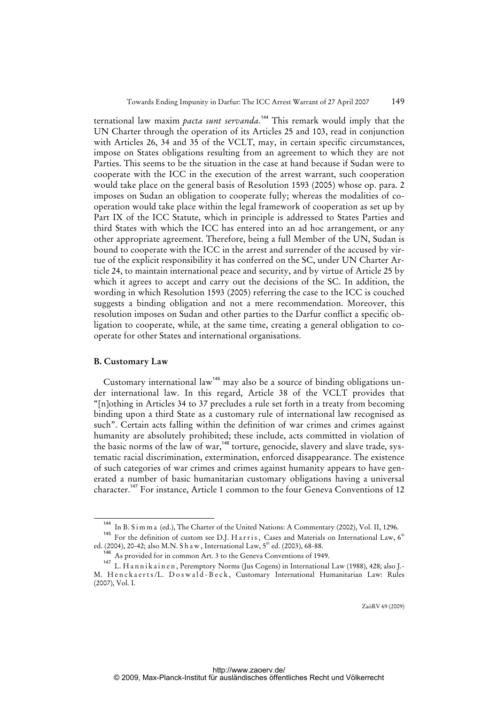ternational law maxim *pacta sunt servanda*. <sup>144</sup> This remark would imply that the UN Charter through the operation of its Articles 25 and 103, read in conjunction with Articles 26, 34 and 35 of the VCLT, may, in certain specific circumstances, impose on States obligations resulting from an agreement to which they are not Parties. This seems to be the situation in the case at hand because if Sudan were to cooperate with the ICC in the execution of the arrest warrant, such cooperation would take place on the general basis of Resolution 1593 (2005) whose op. para. 2 imposes on Sudan an obligation to cooperate fully; whereas the modalities of cooperation would take place within the legal framework of cooperation as set up by Part IX of the ICC Statute, which in principle is addressed to States Parties and third States with which the ICC has entered into an ad hoc arrangement, or any other appropriate agreement. Therefore, being a full Member of the UN, Sudan is bound to cooperate with the ICC in the arrest and surrender of the accused by virtue of the explicit responsibility it has conferred on the SC, under UN Charter Article 24, to maintain international peace and security, and by virtue of Article 25 by which it agrees to accept and carry out the decisions of the SC. In addition, the wording in which Resolution 1593 (2005) referring the case to the ICC is couched suggests a binding obligation and not a mere recommendation. Moreover, this resolution imposes on Sudan and other parties to the Darfur conflict a specific obligation to cooperate, while, at the same time, creating a general obligation to cooperate for other States and international organisations.

### **B. Customary Law**

Customary international law<sup>145</sup> may also be a source of binding obligations under international law. In this regard, Article 38 of the VCLT provides that "[n]othing in Articles 34 to 37 precludes a rule set forth in a treaty from becoming binding upon a third State as a customary rule of international law recognised as such". Certain acts falling within the definition of war crimes and crimes against humanity are absolutely prohibited; these include, acts committed in violation of the basic norms of the law of war,<sup>146</sup> torture, genocide, slavery and slave trade, systematic racial discrimination, extermination, enforced disappearance. The existence of such categories of war crimes and crimes against humanity appears to have generated a number of basic humanitarian customary obligations having a universal character.<sup>147</sup> For instance, Article 1 common to the four Geneva Conventions of 12

<sup>&</sup>lt;sup>144</sup> In B. Simma (ed.), The Charter of the United Nations: A Commentary (2002), Vol. II, 1296.

<sup>&</sup>lt;sup>145</sup> For the definition of custom see D.J. Harris, Cases and Materials on International Law,  $6<sup>th</sup>$ ed. (2004), 20-42; also M.N. S h a w, International Law,  $5^{th}$  ed. (2003), 68-88.

 $\degree$  As provided for in common Art. 3 to the Geneva Conventions of 1949.

<sup>147</sup> L. Hannikainen, Peremptory Norms (Jus Cogens) in International Law (1988), 428; also J.-M. Henckaerts/L. Doswald-Beck, Customary International Humanitarian Law: Rules (2007), Vol. I.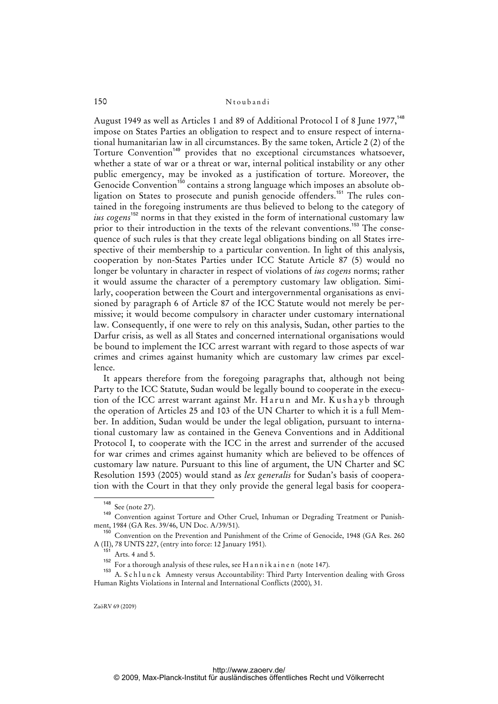August 1949 as well as Articles 1 and 89 of Additional Protocol I of 8 June 1977,<sup>148</sup> impose on States Parties an obligation to respect and to ensure respect of international humanitarian law in all circumstances. By the same token, Article 2 (2) of the Torture Convention<sup>149</sup> provides that no exceptional circumstances whatsoever, whether a state of war or a threat or war, internal political instability or any other public emergency, may be invoked as a justification of torture. Moreover, the Genocide Convention<sup>150</sup> contains a strong language which imposes an absolute obligation on States to prosecute and punish genocide offenders.<sup>151</sup> The rules contained in the foregoing instruments are thus believed to belong to the category of *ius cogens*<sup>152</sup> norms in that they existed in the form of international customary law prior to their introduction in the texts of the relevant conventions.<sup>153</sup> The consequence of such rules is that they create legal obligations binding on all States irrespective of their membership to a particular convention. In light of this analysis, cooperation by non-States Parties under ICC Statute Article 87 (5) would no longer be voluntary in character in respect of violations of *ius cogens* norms; rather it would assume the character of a peremptory customary law obligation. Similarly, cooperation between the Court and intergovernmental organisations as envisioned by paragraph 6 of Article 87 of the ICC Statute would not merely be permissive; it would become compulsory in character under customary international law. Consequently, if one were to rely on this analysis, Sudan, other parties to the Darfur crisis, as well as all States and concerned international organisations would be bound to implement the ICC arrest warrant with regard to those aspects of war crimes and crimes against humanity which are customary law crimes par excellence.

 It appears therefore from the foregoing paragraphs that, although not being Party to the ICC Statute, Sudan would be legally bound to cooperate in the execution of the ICC arrest warrant against Mr. Harun and Mr. Kushayb through the operation of Articles 25 and 103 of the UN Charter to which it is a full Member. In addition, Sudan would be under the legal obligation, pursuant to international customary law as contained in the Geneva Conventions and in Additional Protocol I, to cooperate with the ICC in the arrest and surrender of the accused for war crimes and crimes against humanity which are believed to be offences of customary law nature. Pursuant to this line of argument, the UN Charter and SC Resolution 1593 (2005) would stand as *lex generalis* for Sudan's basis of cooperation with the Court in that they only provide the general legal basis for coopera-

<sup>&</sup>lt;sup>148</sup> See (note 27).

<sup>&</sup>lt;sup>149</sup> Convention against Torture and Other Cruel, Inhuman or Degrading Treatment or Punishment, 1984 (GA Res. 39/46, UN Doc. A/39/51).

<sup>&</sup>lt;sup>150</sup> Convention on the Prevention and Punishment of the Crime of Genocide, 1948 (GA Res. 260 A (II), 78 UNTS 227, (entry into force: 12 January 1951).

Arts. 4 and 5.

<sup>152</sup> For a thorough analysis of these rules, see H a n n i k a i n e n (note 147).

<sup>153</sup> A. Schlunck Amnesty versus Accountability: Third Party Intervention dealing with Gross Human Rights Violations in Internal and International Conflicts (2000), 31.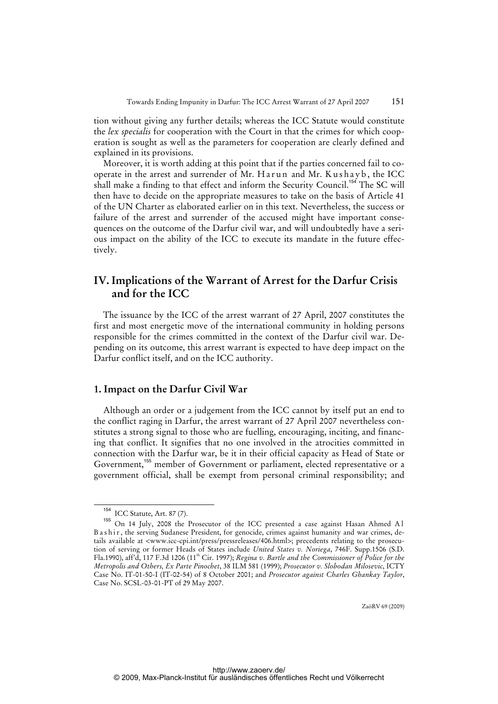tion without giving any further details; whereas the ICC Statute would constitute the *lex specialis* for cooperation with the Court in that the crimes for which cooperation is sought as well as the parameters for cooperation are clearly defined and explained in its provisions.

 Moreover, it is worth adding at this point that if the parties concerned fail to cooperate in the arrest and surrender of Mr. Harun and Mr. Kushayb, the ICC shall make a finding to that effect and inform the Security Council.<sup>154</sup> The SC will then have to decide on the appropriate measures to take on the basis of Article 41 of the UN Charter as elaborated earlier on in this text. Nevertheless, the success or failure of the arrest and surrender of the accused might have important consequences on the outcome of the Darfur civil war, and will undoubtedly have a serious impact on the ability of the ICC to execute its mandate in the future effectively.

# **IV. Implications of the Warrant of Arrest for the Darfur Crisis and for the ICC**

 The issuance by the ICC of the arrest warrant of 27 April, 2007 constitutes the first and most energetic move of the international community in holding persons responsible for the crimes committed in the context of the Darfur civil war. Depending on its outcome, this arrest warrant is expected to have deep impact on the Darfur conflict itself, and on the ICC authority.

### **1. Impact on the Darfur Civil War**

 Although an order or a judgement from the ICC cannot by itself put an end to the conflict raging in Darfur, the arrest warrant of 27 April 2007 nevertheless constitutes a strong signal to those who are fuelling, encouraging, inciting, and financing that conflict. It signifies that no one involved in the atrocities committed in connection with the Darfur war, be it in their official capacity as Head of State or Government,<sup>155</sup> member of Government or parliament, elected representative or a government official, shall be exempt from personal criminal responsibility; and

<sup>154</sup> ICC Statute, Art. 87 (7).

<sup>155</sup> On 14 July, 2008 the Prosecutor of the ICC presented a case against Hasan Ahmed A l B a s h i r, the serving Sudanese President, for genocide, crimes against humanity and war crimes, details available at <www.icc-cpi.int/press/pressreleases/406.html>; precedents relating to the prosecution of serving or former Heads of States include *United States v. Noriega*, 746F. Supp.1506 (S.D. Fla.1990), aff'd, 117 F.3d 1206 (11<sup>th</sup> Cir. 1997); *Regina v. Bartle and the Commissioner of Police for the Metropolis and Others, Ex Parte Pinochet*, 38 ILM 581 (1999); *Prosecutor v. Slobodan Milosevic*, ICTY Case No. IT-01-50-I (IT-02-54) of 8 October 2001; and *Prosecutor against Charles Ghankay Taylor*, Case No. SCSL-03-01-PT of 29 May 2007.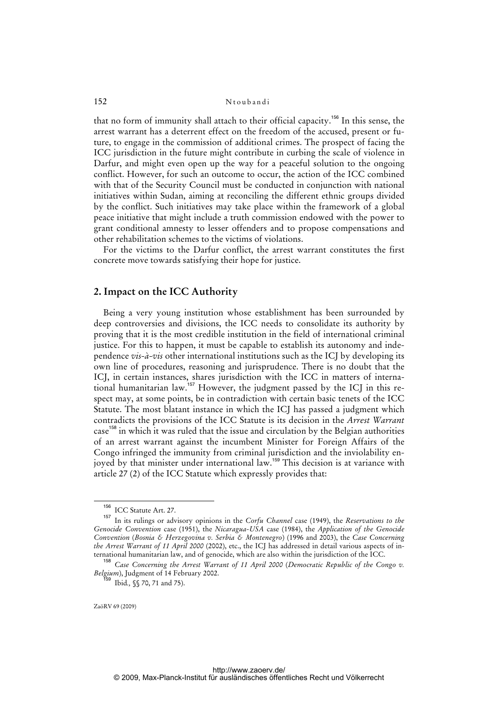that no form of immunity shall attach to their official capacity.<sup>156</sup> In this sense, the arrest warrant has a deterrent effect on the freedom of the accused, present or future, to engage in the commission of additional crimes. The prospect of facing the ICC jurisdiction in the future might contribute in curbing the scale of violence in Darfur, and might even open up the way for a peaceful solution to the ongoing conflict. However, for such an outcome to occur, the action of the ICC combined with that of the Security Council must be conducted in conjunction with national initiatives within Sudan, aiming at reconciling the different ethnic groups divided by the conflict. Such initiatives may take place within the framework of a global peace initiative that might include a truth commission endowed with the power to grant conditional amnesty to lesser offenders and to propose compensations and other rehabilitation schemes to the victims of violations.

 For the victims to the Darfur conflict, the arrest warrant constitutes the first concrete move towards satisfying their hope for justice.

## **2. Impact on the ICC Authority**

 Being a very young institution whose establishment has been surrounded by deep controversies and divisions, the ICC needs to consolidate its authority by proving that it is the most credible institution in the field of international criminal justice. For this to happen, it must be capable to establish its autonomy and independence *vis-à-vis* other international institutions such as the ICJ by developing its own line of procedures, reasoning and jurisprudence. There is no doubt that the ICJ, in certain instances, shares jurisdiction with the ICC in matters of international humanitarian law.<sup>157</sup> However, the judgment passed by the ICJ in this respect may, at some points, be in contradiction with certain basic tenets of the ICC Statute. The most blatant instance in which the ICJ has passed a judgment which contradicts the provisions of the ICC Statute is its decision in the *Arrest Warrant* case<sup>158</sup> in which it was ruled that the issue and circulation by the Belgian authorities of an arrest warrant against the incumbent Minister for Foreign Affairs of the Congo infringed the immunity from criminal jurisdiction and the inviolability enjoyed by that minister under international law.<sup>159</sup> This decision is at variance with article 27 (2) of the ICC Statute which expressly provides that:

 $^{156}$  ICC Statute Art. 27.

<sup>157</sup> In its rulings or advisory opinions in the *Corfu Channel* case (1949), the *Reservations to the Genocide Convention* case (1951), the *Nicaragua-USA* case (1984), the *Application of the Genocide Convention* (*Bosnia & Herzegovina v. Serbia & Montenegro*) (1996 and 2003), the *Case Concerning the Arrest Warrant of 11 April 2000* (2002), etc., the ICJ has addressed in detail various aspects of international humanitarian law, and of genocide, which are also within the jurisdiction of the ICC.

<sup>158</sup> *Case Concerning the Arrest Warrant of 11 April 2000* (*Democratic Republic of the Congo v. Belgium*), Judgment of 14 February 2002.

<sup>&</sup>lt;sup>3</sup> Ibid., §§ 70, 71 and 75).

ZaöRV 69 (2009)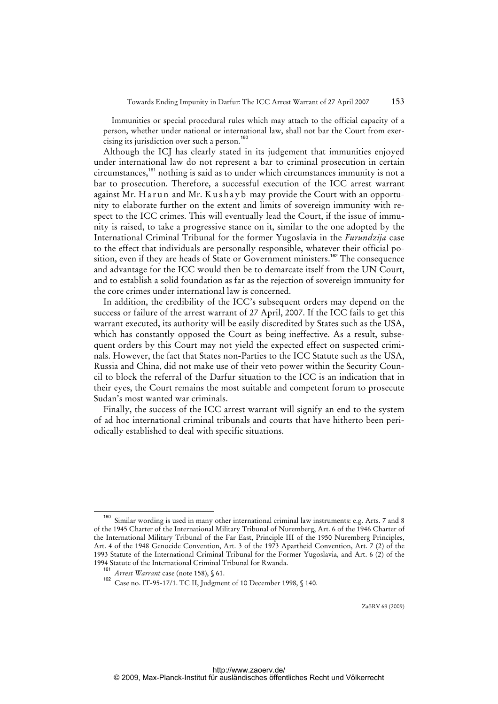Immunities or special procedural rules which may attach to the official capacity of a person, whether under national or international law, shall not bar the Court from exercising its jurisdiction over such a person.<sup>160</sup>

 Although the ICJ has clearly stated in its judgement that immunities enjoyed under international law do not represent a bar to criminal prosecution in certain circumstances,<sup>161</sup> nothing is said as to under which circumstances immunity is not a bar to prosecution. Therefore, a successful execution of the ICC arrest warrant against Mr. Harun and Mr. Kushayb may provide the Court with an opportunity to elaborate further on the extent and limits of sovereign immunity with respect to the ICC crimes. This will eventually lead the Court, if the issue of immunity is raised, to take a progressive stance on it, similar to the one adopted by the International Criminal Tribunal for the former Yugoslavia in the *Furundzija* case to the effect that individuals are personally responsible, whatever their official position, even if they are heads of State or Government ministers.<sup>162</sup> The consequence and advantage for the ICC would then be to demarcate itself from the UN Court, and to establish a solid foundation as far as the rejection of sovereign immunity for the core crimes under international law is concerned.

 In addition, the credibility of the ICC's subsequent orders may depend on the success or failure of the arrest warrant of 27 April, 2007. If the ICC fails to get this warrant executed, its authority will be easily discredited by States such as the USA, which has constantly opposed the Court as being ineffective. As a result, subsequent orders by this Court may not yield the expected effect on suspected criminals. However, the fact that States non-Parties to the ICC Statute such as the USA, Russia and China, did not make use of their veto power within the Security Council to block the referral of the Darfur situation to the ICC is an indication that in their eyes, the Court remains the most suitable and competent forum to prosecute Sudan's most wanted war criminals.

 Finally, the success of the ICC arrest warrant will signify an end to the system of ad hoc international criminal tribunals and courts that have hitherto been periodically established to deal with specific situations.

Similar wording is used in many other international criminal law instruments: e.g. Arts. 7 and 8 of the 1945 Charter of the International Military Tribunal of Nuremberg, Art. 6 of the 1946 Charter of the International Military Tribunal of the Far East, Principle III of the 1950 Nuremberg Principles, Art. 4 of the 1948 Genocide Convention, Art. 3 of the 1973 Apartheid Convention, Art. 7 (2) of the 1993 Statute of the International Criminal Tribunal for the Former Yugoslavia, and Art. 6 (2) of the 1994 Statute of the International Criminal Tribunal for Rwanda.

<sup>161</sup> *Arrest Warrant* case (note 158), § 61.

<sup>162</sup> Case no. IT-95-17/1. TC II, Judgment of 10 December 1998, § 140.